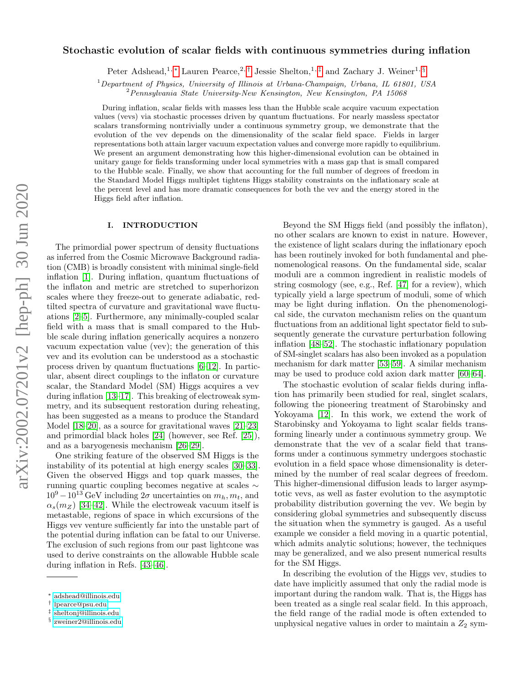# arXiv:2002.07201v2 [hep-ph] 30 Jun 2020 arXiv:2002.07201v2 [hep-ph] 30 Jun 2020

# Stochastic evolution of scalar fields with continuous symmetries during inflation

Peter Adshead,<sup>1,\*</sup> Lauren Pearce,<sup>2,[†](#page-0-1)</sup> Jessie Shelton,<sup>1,[‡](#page-0-2)</sup> and Zachary J. Weiner<sup>1, [§](#page-0-3)</sup>

<sup>1</sup>Department of Physics, University of Illinois at Urbana-Champaign, Urbana, IL 61801, USA

<sup>2</sup>Pennsylvania State University-New Kensington, New Kensington, PA 15068

During inflation, scalar fields with masses less than the Hubble scale acquire vacuum expectation values (vevs) via stochastic processes driven by quantum fluctuations. For nearly massless spectator scalars transforming nontrivially under a continuous symmetry group, we demonstrate that the evolution of the vev depends on the dimensionality of the scalar field space. Fields in larger representations both attain larger vacuum expectation values and converge more rapidly to equilibrium. We present an argument demonstrating how this higher-dimensional evolution can be obtained in unitary gauge for fields transforming under local symmetries with a mass gap that is small compared to the Hubble scale. Finally, we show that accounting for the full number of degrees of freedom in the Standard Model Higgs multiplet tightens Higgs stability constraints on the inflationary scale at the percent level and has more dramatic consequences for both the vev and the energy stored in the Higgs field after inflation.

# I. INTRODUCTION

The primordial power spectrum of density fluctuations as inferred from the Cosmic Microwave Background radiation (CMB) is broadly consistent with minimal single-field inflation [\[1\]](#page-14-0). During inflation, quantum fluctuations of the inflaton and metric are stretched to superhorizon scales where they freeze-out to generate adiabatic, redtilted spectra of curvature and gravitational wave fluctuations [\[2](#page-14-1)[–5\]](#page-14-2). Furthermore, any minimally-coupled scalar field with a mass that is small compared to the Hubble scale during inflation generically acquires a nonzero vacuum expectation value (vev); the generation of this vev and its evolution can be understood as a stochastic process driven by quantum fluctuations [\[6](#page-14-3)[–12\]](#page-15-0). In particular, absent direct couplings to the inflaton or curvature scalar, the Standard Model (SM) Higgs acquires a vev during inflation [\[13](#page-15-1)[–17\]](#page-15-2). This breaking of electroweak symmetry, and its subsequent restoration during reheating, has been suggested as a means to produce the Standard Model [\[18](#page-15-3)[–20\]](#page-15-4), as a source for gravitational waves [\[21–](#page-15-5)[23\]](#page-15-6) and primordial black holes [\[24\]](#page-15-7) (however, see Ref. [\[25\]](#page-15-8)), and as a baryogenesis mechanism [\[26–](#page-15-9)[29\]](#page-15-10).

One striking feature of the observed SM Higgs is the instability of its potential at high energy scales [\[30](#page-15-11)[–33\]](#page-15-12). Given the observed Higgs and top quark masses, the running quartic coupling becomes negative at scales ∼  $10^9 - 10^{13}$  GeV including  $2\sigma$  uncertainties on  $m_h, m_t$ , and  $\alpha_s(m_Z)$  [\[34–](#page-15-13)[42\]](#page-15-14). While the electroweak vacuum itself is metastable, regions of space in which excursions of the Higgs vev venture sufficiently far into the unstable part of the potential during inflation can be fatal to our Universe. The exclusion of such regions from our past lightcone was used to derive constraints on the allowable Hubble scale during inflation in Refs. [\[43–](#page-15-15)[46\]](#page-15-16).

Beyond the SM Higgs field (and possibly the inflaton), no other scalars are known to exist in nature. However, the existence of light scalars during the inflationary epoch has been routinely invoked for both fundamental and phenomenological reasons. On the fundamental side, scalar moduli are a common ingredient in realistic models of string cosmology (see, e.g., Ref. [\[47\]](#page-15-17) for a review), which typically yield a large spectrum of moduli, some of which may be light during inflation. On the phenomenological side, the curvaton mechanism relies on the quantum fluctuations from an additional light spectator field to subsequently generate the curvature perturbation following inflation [\[48](#page-15-18)[–52\]](#page-15-19). The stochastic inflationary population of SM-singlet scalars has also been invoked as a population mechanism for dark matter [\[53](#page-15-20)[–59\]](#page-15-21). A similar mechanism may be used to produce cold axion dark matter [\[60](#page-15-22)[–64\]](#page-15-23).

The stochastic evolution of scalar fields during inflation has primarily been studied for real, singlet scalars, following the pioneering treatment of Starobinsky and Yokoyama [\[12\]](#page-15-0). In this work, we extend the work of Starobinsky and Yokoyama to light scalar fields transforming linearly under a continuous symmetry group. We demonstrate that the vev of a scalar field that transforms under a continuous symmetry undergoes stochastic evolution in a field space whose dimensionality is determined by the number of real scalar degrees of freedom. This higher-dimensional diffusion leads to larger asymptotic vevs, as well as faster evolution to the asymptotic probability distribution governing the vev. We begin by considering global symmetries and subsequently discuss the situation when the symmetry is gauged. As a useful example we consider a field moving in a quartic potential, which admits analytic solutions; however, the techniques may be generalized, and we also present numerical results for the SM Higgs.

In describing the evolution of the Higgs vev, studies to date have implicitly assumed that only the radial mode is important during the random walk. That is, the Higgs has been treated as a single real scalar field. In this approach, the field range of the radial mode is often extended to unphysical negative values in order to maintain a  $Z_2$  sym-

<span id="page-0-0"></span><sup>∗</sup> [adshead@illinois.edu](mailto:adshead@illinois.edu)

<span id="page-0-1"></span><sup>†</sup> [lpearce@psu.edu](mailto:lpearce@psu.edu)

<span id="page-0-2"></span><sup>‡</sup> [sheltonj@illinois.edu](mailto:sheltonj@illinois.edu)

<span id="page-0-3"></span><sup>§</sup> [zweiner2@illinois.edu](mailto:zweiner2@illinois.edu)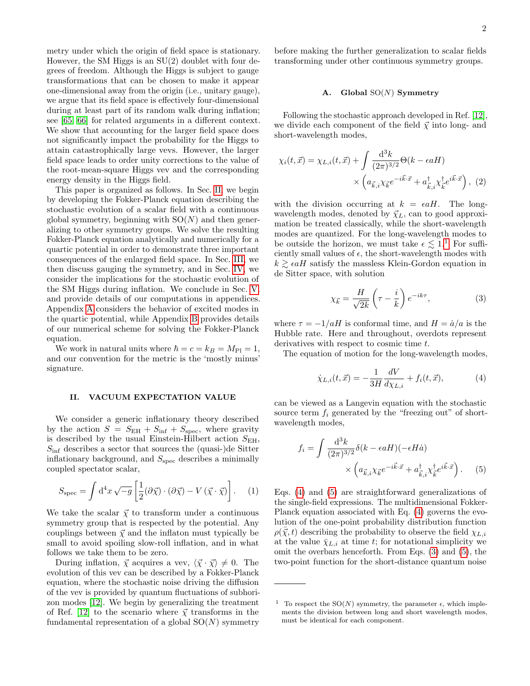metry under which the origin of field space is stationary. However, the SM Higgs is an  $SU(2)$  doublet with four degrees of freedom. Although the Higgs is subject to gauge transformations that can be chosen to make it appear one-dimensional away from the origin (i.e., unitary gauge), we argue that its field space is effectively four-dimensional during at least part of its random walk during inflation; see [\[65,](#page-15-24) [66\]](#page-15-25) for related arguments in a different context. We show that accounting for the larger field space does not significantly impact the probability for the Higgs to attain catastrophically large vevs. However, the larger field space leads to order unity corrections to the value of the root-mean-square Higgs vev and the corresponding energy density in the Higgs field.

This paper is organized as follows. In Sec. [II,](#page-1-0) we begin by developing the Fokker-Planck equation describing the stochastic evolution of a scalar field with a continuous global symmetry, beginning with  $SO(N)$  and then generalizing to other symmetry groups. We solve the resulting Fokker-Planck equation analytically and numerically for a quartic potential in order to demonstrate three important consequences of the enlarged field space. In Sec. [III,](#page-6-0) we then discuss gauging the symmetry, and in Sec. [IV,](#page-8-0) we consider the implications for the stochastic evolution of the SM Higgs during inflation. We conclude in Sec. [V,](#page-10-0) and provide details of our computations in appendices. Appendix [A](#page-11-0) considers the behavior of excited modes in the quartic potential, while Appendix [B](#page-14-4) provides details of our numerical scheme for solving the Fokker-Planck equation.

We work in natural units where  $\hbar = c = k_B = M_{\rm Pl} = 1$ , and our convention for the metric is the 'mostly minus' signature.

# <span id="page-1-0"></span>II. VACUUM EXPECTATION VALUE

We consider a generic inflationary theory described by the action  $S = S_{EH} + S_{inf} + S_{spec}$ , where gravity is described by the usual Einstein-Hilbert action  $S_{\text{EH}}$ ,  $S_{\text{inf}}$  describes a sector that sources the (quasi-)de Sitter inflationary background, and  $S_{\text{spec}}$  describes a minimally coupled spectator scalar,

$$
S_{\rm spec} = \int d^4x \sqrt{-g} \left[ \frac{1}{2} (\partial \vec{\chi}) \cdot (\partial \vec{\chi}) - V (\vec{\chi} \cdot \vec{\chi}) \right]. \tag{1}
$$

We take the scalar  $\vec{\chi}$  to transform under a continuous symmetry group that is respected by the potential. Any couplings between  $\vec{\chi}$  and the inflaton must typically be small to avoid spoiling slow-roll inflation, and in what follows we take them to be zero.

During inflation,  $\vec{\chi}$  acquires a vev,  $\langle \vec{\chi} \cdot \vec{\chi} \rangle \neq 0$ . The evolution of this vev can be described by a Fokker-Planck equation, where the stochastic noise driving the diffusion of the vev is provided by quantum fluctuations of subhorizon modes [\[12\]](#page-15-0). We begin by generalizing the treatment of Ref. [\[12\]](#page-15-0) to the scenario where  $\vec{\chi}$  transforms in the fundamental representation of a global  $SO(N)$  symmetry

before making the further generalization to scalar fields transforming under other continuous symmetry groups.

### A. Global  $SO(N)$  Symmetry

Following the stochastic approach developed in Ref. [\[12\]](#page-15-0), we divide each component of the field  $\vec{\chi}$  into long- and short-wavelength modes,

$$
\chi_i(t, \vec{x}) = \chi_{L,i}(t, \vec{x}) + \int \frac{\mathrm{d}^3 k}{(2\pi)^{3/2}} \Theta(k - \epsilon a H)
$$

$$
\times \left( a_{\vec{k}, i} \chi_{\vec{k}} e^{-i\vec{k}\cdot\vec{x}} + a_{\vec{k}, i}^\dagger \chi_{\vec{k}}^\dagger e^{i\vec{k}\cdot\vec{x}} \right), (2)
$$

with the division occurring at  $k = \epsilon aH$ . The longwavelength modes, denoted by  $\vec{\chi}_L$ , can to good approximation be treated classically, while the short-wavelength modes are quantized. For the long-wavelength modes to be outside the horizon, we must take  $\epsilon \leq 1$  $\epsilon \leq 1$ .<sup>1</sup> For sufficiently small values of  $\epsilon$ , the short-wavelength modes with  $k \geq \epsilon aH$  satisfy the massless Klein-Gordon equation in de Sitter space, with solution

<span id="page-1-4"></span>
$$
\chi_{\vec{k}} = \frac{H}{\sqrt{2k}} \left(\tau - \frac{i}{k}\right) e^{-ik\tau},\tag{3}
$$

where  $\tau = -1/aH$  is conformal time, and  $H = \dot{a}/a$  is the Hubble rate. Here and throughout, overdots represent derivatives with respect to cosmic time  $t$ .

The equation of motion for the long-wavelength modes,

<span id="page-1-2"></span>
$$
\dot{\chi}_{L,i}(t,\vec{x}) = -\frac{1}{3H} \frac{dV}{d\chi_{L,i}} + f_i(t,\vec{x}),
$$
\n(4)

can be viewed as a Langevin equation with the stochastic source term  $f_i$  generated by the "freezing out" of shortwavelength modes,

<span id="page-1-3"></span>
$$
f_i = \int \frac{\mathrm{d}^3 k}{(2\pi)^{3/2}} \delta(k - \epsilon a H) (-\epsilon H \dot{a})
$$

$$
\times \left( a_{\vec{k},i} \chi_{\vec{k}} e^{-i\vec{k}\cdot\vec{x}} + a_{\vec{k},i}^\dagger \chi_{\vec{k}}^\dagger e^{i\vec{k}\cdot\vec{x}} \right). \tag{5}
$$

Eqs. [\(4\)](#page-1-2) and [\(5\)](#page-1-3) are straightforward generalizations of the single-field expressions. The multidimensional Fokker-Planck equation associated with Eq. [\(4\)](#page-1-2) governs the evolution of the one-point probability distribution function  $\rho(\bar{\vec{\chi}}, t)$  describing the probability to observe the field  $\chi_{L,i}$ at the value  $\bar{\chi}_{L,i}$  at time t; for notational simplicity we omit the overbars henceforth. From Eqs. [\(3\)](#page-1-4) and [\(5\)](#page-1-3), the two-point function for the short-distance quantum noise

<span id="page-1-1"></span><sup>&</sup>lt;sup>1</sup> To respect the SO(N) symmetry, the parameter  $\epsilon$ , which implements the division between long and short wavelength modes, must be identical for each component.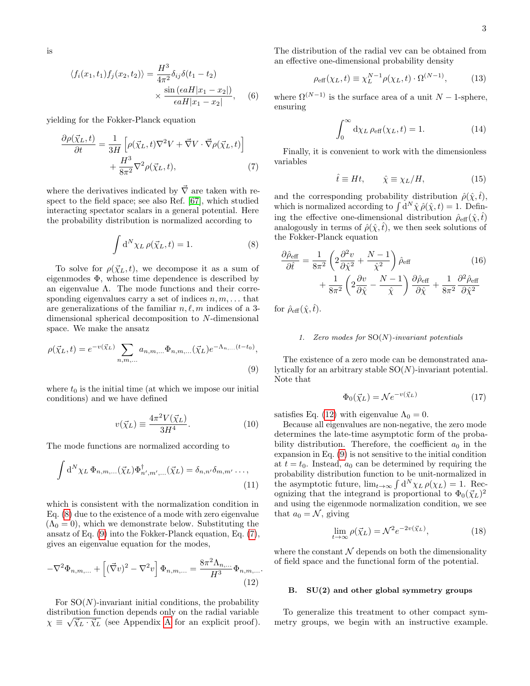is

$$
\langle f_i(x_1, t_1) f_j(x_2, t_2) \rangle = \frac{H^3}{4\pi^2} \delta_{ij} \delta(t_1 - t_2)
$$

$$
\times \frac{\sin\left(\epsilon a H | x_1 - x_2|\right)}{\epsilon a H | x_1 - x_2|}, \quad (6)
$$

yielding for the Fokker-Planck equation

$$
\frac{\partial \rho(\vec{\chi}_L, t)}{\partial t} = \frac{1}{3H} \left[ \rho(\vec{\chi}_L, t) \nabla^2 V + \vec{\nabla} V \cdot \vec{\nabla} \rho(\vec{\chi}_L, t) \right] + \frac{H^3}{8\pi^2} \nabla^2 \rho(\vec{\chi}_L, t), \tag{7}
$$

where the derivatives indicated by  $\vec{\nabla}$  are taken with respect to the field space; see also Ref. [\[67\]](#page-16-0), which studied interacting spectator scalars in a general potential. Here the probability distribution is normalized according to

$$
\int d^N \chi_L \,\rho(\vec{\chi}_L, t) = 1. \tag{8}
$$

To solve for  $\rho(\vec{\chi}_L, t)$ , we decompose it as a sum of eigenmodes  $\Phi$ , whose time dependence is described by an eigenvalue  $\Lambda$ . The mode functions and their corresponding eigenvalues carry a set of indices  $n, m, \ldots$  that are generalizations of the familiar  $n, \ell, m$  indices of a 3dimensional spherical decomposition to N-dimensional space. We make the ansatz

$$
\rho(\vec{\chi}_L, t) = e^{-v(\vec{\chi}_L)} \sum_{n,m,...} a_{n,m,...} \Phi_{n,m,...}(\vec{\chi}_L) e^{-\Lambda_{n,...}(t-t_0)},
$$
\n(9)

where  $t_0$  is the initial time (at which we impose our initial conditions) and we have defined

$$
v(\vec{\chi}_L) \equiv \frac{4\pi^2 V(\vec{\chi}_L)}{3H^4}.
$$
\n(10)

The mode functions are normalized according to

$$
\int d^N \chi_L \, \Phi_{n,m,\dots}(\vec{\chi}_L) \Phi^{\dagger}_{n',m',\dots}(\vec{\chi}_L) = \delta_{n,n'} \delta_{m,m'} \dots,
$$
\n(11)

which is consistent with the normalization condition in Eq. [\(8\)](#page-2-0) due to the existence of a mode with zero eigenvalue  $(\Lambda_0 = 0)$ , which we demonstrate below. Substituting the ansatz of Eq. [\(9\)](#page-2-1) into the Fokker-Planck equation, Eq. [\(7\)](#page-2-2), gives an eigenvalue equation for the modes,

$$
-\nabla^2 \Phi_{n,m,...} + \left[ (\vec{\nabla} v)^2 - \nabla^2 v \right] \Phi_{n,m,...} = \frac{8\pi^2 \Lambda_{n,...}}{H^3} \Phi_{n,m,...}.
$$
\n(12)

For  $SO(N)$ -invariant initial conditions, the probability distribution function depends only on the radial variable  $\chi \equiv \sqrt{\overline{\chi}_L \cdot \overline{\chi}_L}$  (see [A](#page-11-0)ppendix A for an explicit proof). The distribution of the radial vev can be obtained from an effective one-dimensional probability density

$$
\rho_{\text{eff}}(\chi_L, t) \equiv \chi_L^{N-1} \rho(\chi_L, t) \cdot \Omega^{(N-1)}, \tag{13}
$$

where  $\Omega^{(N-1)}$  is the surface area of a unit N – 1-sphere, ensuring

<span id="page-2-6"></span>
$$
\int_0^\infty \mathrm{d}\chi_L \,\rho_{\text{eff}}(\chi_L, t) = 1. \tag{14}
$$

<span id="page-2-2"></span>Finally, it is convenient to work with the dimensionless variables

<span id="page-2-5"></span>
$$
\hat{t} \equiv Ht, \qquad \hat{\chi} \equiv \chi_L/H,\tag{15}
$$

and the corresponding probability distribution  $\hat{\rho}(\hat{\chi}, \hat{t}),$ which is normalized according to  $\int d^N \hat{\chi} \hat{\rho}(\hat{\chi}, t) = 1$ . Defining the effective one-dimensional distribution  $\hat{\rho}_{\text{eff}}(\hat{\chi}, \hat{t})$ analogously in terms of  $\hat{\rho}(\hat{\chi}, \hat{t})$ , we then seek solutions of the Fokker-Planck equation

<span id="page-2-0"></span>
$$
\frac{\partial \hat{\rho}_{\text{eff}}}{\partial \hat{t}} = \frac{1}{8\pi^2} \left( 2 \frac{\partial^2 v}{\partial \hat{\chi}^2} + \frac{N - 1}{\hat{\chi}^2} \right) \hat{\rho}_{\text{eff}} \qquad (16)
$$

$$
+ \frac{1}{8\pi^2} \left( 2 \frac{\partial v}{\partial \hat{\chi}} - \frac{N - 1}{\hat{\chi}} \right) \frac{\partial \hat{\rho}_{\text{eff}}}{\partial \hat{\chi}} + \frac{1}{8\pi^2} \frac{\partial^2 \hat{\rho}_{\text{eff}}}{\partial \hat{\chi}^2}
$$

for  $\hat{\rho}_{\text{eff}}(\hat{\chi},\hat{t})$ .

### 1. Zero modes for  $SO(N)$ -invariant potentials

<span id="page-2-1"></span>The existence of a zero mode can be demonstrated analytically for an arbitrary stable  $SO(N)$ -invariant potential. Note that

$$
\Phi_0(\vec{\chi}_L) = \mathcal{N}e^{-v(\vec{\chi}_L)}\tag{17}
$$

satisfies Eq. [\(12\)](#page-2-3) with eigenvalue  $\Lambda_0 = 0$ .

Because all eigenvalues are non-negative, the zero mode determines the late-time asymptotic form of the probability distribution. Therefore, the coefficient  $a_0$  in the expansion in Eq. [\(9\)](#page-2-1) is not sensitive to the initial condition at  $t = t_0$ . Instead,  $a_0$  can be determined by requiring the probability distribution function to be unit-normalized in the asymptotic future,  $\lim_{t\to\infty} \int d^N \chi_L \rho(\chi_L) = 1$ . Recognizing that the integrand is proportional to  $\Phi_0(\vec{\chi}_L)^2$ and using the eigenmode normalization condition, we see that  $a_0 = \mathcal{N}$ , giving

<span id="page-2-4"></span>
$$
\lim_{t \to \infty} \rho(\vec{\chi}_L) = \mathcal{N}^2 e^{-2v(\vec{\chi}_L)},\tag{18}
$$

<span id="page-2-3"></span>where the constant  $N$  depends on both the dimensionality of field space and the functional form of the potential.

# B. SU(2) and other global symmetry groups

To generalize this treatment to other compact symmetry groups, we begin with an instructive example.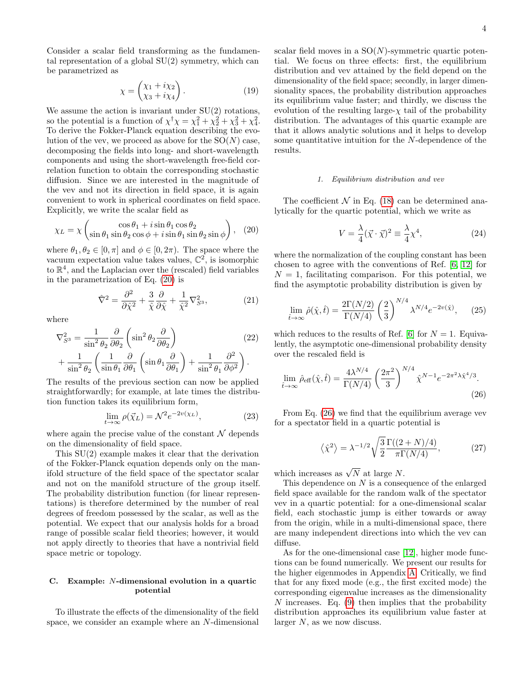Consider a scalar field transforming as the fundamental representation of a global  $SU(2)$  symmetry, which can be parametrized as

$$
\chi = \begin{pmatrix} \chi_1 + i\chi_2 \\ \chi_3 + i\chi_4 \end{pmatrix} . \tag{19}
$$

We assume the action is invariant under  $SU(2)$  rotations, so the potential is a function of  $\chi^{\dagger} \chi = \chi_1^2 + \chi_2^2 + \chi_3^2 + \chi_4^2$ . To derive the Fokker-Planck equation describing the evolution of the vev, we proceed as above for the  $SO(N)$  case, decomposing the fields into long- and short-wavelength components and using the short-wavelength free-field correlation function to obtain the corresponding stochastic diffusion. Since we are interested in the magnitude of the vev and not its direction in field space, it is again convenient to work in spherical coordinates on field space. Explicitly, we write the scalar field as

$$
\chi_L = \chi \left( \frac{\cos \theta_1 + i \sin \theta_1 \cos \theta_2}{\sin \theta_1 \sin \theta_2 \cos \phi + i \sin \theta_1 \sin \theta_2 \sin \phi} \right), \quad (20)
$$

where  $\theta_1, \theta_2 \in [0, \pi]$  and  $\phi \in [0, 2\pi)$ . The space where the vacuum expectation value takes values,  $\mathbb{C}^2$ , is isomorphic to R 4 , and the Laplacian over the (rescaled) field variables in the parametrization of Eq. [\(20\)](#page-3-0) is

$$
\hat{\nabla}^2 = \frac{\partial^2}{\partial \hat{\chi}^2} + \frac{3}{\hat{\chi}} \frac{\partial}{\partial \hat{\chi}} + \frac{1}{\hat{\chi}^2} \nabla_{S^3}^2,\tag{21}
$$

where

$$
\nabla_{S^3}^2 = \frac{1}{\sin^2 \theta_2} \frac{\partial}{\partial \theta_2} \left( \sin^2 \theta_2 \frac{\partial}{\partial \theta_2} \right) \tag{22}
$$

$$
+ \frac{1}{\sin^2 \theta_2} \left( \frac{1}{\sin \theta_1} \frac{\partial}{\partial \theta_1} \left( \sin \theta_1 \frac{\partial}{\partial \theta_1} \right) + \frac{1}{\sin^2 \theta_1} \frac{\partial^2}{\partial \phi^2} \right).
$$

The results of the previous section can now be applied straightforwardly; for example, at late times the distribution function takes its equilibrium form,

$$
\lim_{t \to \infty} \rho(\vec{\chi}_L) = \mathcal{N}^2 e^{-2v(\chi_L)},\tag{23}
$$

where again the precise value of the constant  $\mathcal N$  depends on the dimensionality of field space.

This SU(2) example makes it clear that the derivation of the Fokker-Planck equation depends only on the manifold structure of the field space of the spectator scalar and not on the manifold structure of the group itself. The probability distribution function (for linear representations) is therefore determined by the number of real degrees of freedom possessed by the scalar, as well as the potential. We expect that our analysis holds for a broad range of possible scalar field theories; however, it would not apply directly to theories that have a nontrivial field space metric or topology.

# <span id="page-3-2"></span>C. Example: N-dimensional evolution in a quartic potential

To illustrate the effects of the dimensionality of the field space, we consider an example where an N-dimensional scalar field moves in a  $SO(N)$ -symmetric quartic potential. We focus on three effects: first, the equilibrium distribution and vev attained by the field depend on the dimensionality of the field space; secondly, in larger dimensionality spaces, the probability distribution approaches its equilibrium value faster; and thirdly, we discuss the evolution of the resulting large- $\chi$  tail of the probability distribution. The advantages of this quartic example are that it allows analytic solutions and it helps to develop some quantitative intuition for the N-dependence of the results.

### 1. Equilibrium distribution and vev

<span id="page-3-0"></span>The coefficient  $\mathcal N$  in Eq. [\(18\)](#page-2-4) can be determined analytically for the quartic potential, which we write as

<span id="page-3-3"></span>
$$
V = \frac{\lambda}{4} (\vec{\chi} \cdot \vec{\chi})^2 \equiv \frac{\lambda}{4} \chi^4,
$$
 (24)

where the normalization of the coupling constant has been chosen to agree with the conventions of Ref. [\[6,](#page-14-3) [12\]](#page-15-0) for  $N = 1$ , facilitating comparison. For this potential, we find the asymptotic probability distribution is given by

$$
\lim_{\hat{t}\to\infty}\hat{\rho}(\hat{\chi},\hat{t}) = \frac{2\Gamma(N/2)}{\Gamma(N/4)} \left(\frac{2}{3}\right)^{N/4} \lambda^{N/4} e^{-2v(\hat{\chi})},\qquad(25)
$$

which reduces to the results of Ref. [\[6\]](#page-14-3) for  $N = 1$ . Equivalently, the asymptotic one-dimensional probability density over the rescaled field is

$$
\lim_{\hat{t}\to\infty} \hat{\rho}_{\text{eff}}(\hat{\chi}, \hat{t}) = \frac{4\lambda^{N/4}}{\Gamma(N/4)} \left(\frac{2\pi^2}{3}\right)^{N/4} \hat{\chi}^{N-1} e^{-2\pi^2 \lambda \hat{\chi}^4/3}.
$$
\n(26)

From Eq. [\(26\)](#page-3-1) we find that the equilibrium average vev for a spectator field in a quartic potential is

<span id="page-3-1"></span>
$$
\langle \hat{\chi}^2 \rangle = \lambda^{-1/2} \sqrt{\frac{3}{2}} \frac{\Gamma((2+N)/4)}{\pi \Gamma(N/4)},\tag{27}
$$

which increases as  $\sqrt{N}$  at large N.

This dependence on N is a consequence of the enlarged field space available for the random walk of the spectator vev in a quartic potential: for a one-dimensional scalar field, each stochastic jump is either towards or away from the origin, while in a multi-dimensional space, there are many independent directions into which the vev can diffuse.

As for the one-dimensional case [\[12\]](#page-15-0), higher mode functions can be found numerically. We present our results for the higher eigenmodes in Appendix [A.](#page-11-0) Critically, we find that for any fixed mode (e.g., the first excited mode) the corresponding eigenvalue increases as the dimensionality N increases. Eq.  $(9)$  then implies that the probability distribution approaches its equilibrium value faster at larger N, as we now discuss.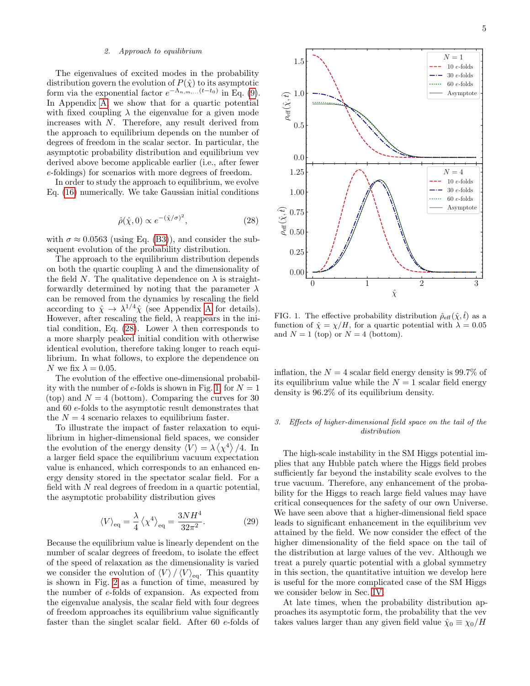# <span id="page-4-2"></span>2. Approach to equilibrium

The eigenvalues of excited modes in the probability distribution govern the evolution of  $P(\hat{\chi})$  to its asymptotic form via the exponential factor  $e^{-\Lambda_{n,m,...}(t-t_0)}$  in Eq. [\(9\)](#page-2-1). In Appendix [A,](#page-11-0) we show that for a quartic potential with fixed coupling  $\lambda$  the eigenvalue for a given mode increases with N. Therefore, any result derived from the approach to equilibrium depends on the number of degrees of freedom in the scalar sector. In particular, the asymptotic probability distribution and equilibrium vev derived above become applicable earlier (i.e., after fewer e-foldings) for scenarios with more degrees of freedom.

<span id="page-4-0"></span>In order to study the approach to equilibrium, we evolve Eq. [\(16\)](#page-2-5) numerically. We take Gaussian initial conditions

$$
\hat{\rho}(\hat{\chi},0) \propto e^{-(\hat{\chi}/\sigma)^2},\tag{28}
$$

with  $\sigma \approx 0.0563$  (using Eq. [\(B3\)](#page-14-5)), and consider the subsequent evolution of the probability distribution.

The approach to the equilibrium distribution depends on both the quartic coupling  $\lambda$  and the dimensionality of the field N. The qualitative dependence on  $\lambda$  is straightforwardly determined by noting that the parameter  $\lambda$ can be removed from the dynamics by rescaling the field according to  $\hat{\chi} \to \lambda^{1/4} \hat{\chi}$  (see [A](#page-11-0)ppendix A for details). However, after rescaling the field,  $\lambda$  reappears in the ini-tial condition, Eq. [\(28\)](#page-4-0). Lower  $\lambda$  then corresponds to a more sharply peaked initial condition with otherwise identical evolution, therefore taking longer to reach equilibrium. In what follows, to explore the dependence on N we fix  $\lambda = 0.05$ .

The evolution of the effective one-dimensional probabil-ity with the number of e-folds is shown in Fig. [1,](#page-4-1) for  $N = 1$ (top) and  $N = 4$  (bottom). Comparing the curves for 30 and 60 e-folds to the asymptotic result demonstrates that the  $N = 4$  scenario relaxes to equilibrium faster.

To illustrate the impact of faster relaxation to equilibrium in higher-dimensional field spaces, we consider the evolution of the energy density  $\langle V \rangle = \lambda \langle \chi^4 \rangle /4$ . In a larger field space the equilibrium vacuum expectation value is enhanced, which corresponds to an enhanced energy density stored in the spectator scalar field. For a field with  $N$  real degrees of freedom in a quartic potential, the asymptotic probability distribution gives

$$
\langle V \rangle_{\text{eq}} = \frac{\lambda}{4} \left\langle \chi^4 \right\rangle_{\text{eq}} = \frac{3NH^4}{32\pi^2}.
$$
 (29)

Because the equilibrium value is linearly dependent on the number of scalar degrees of freedom, to isolate the effect of the speed of relaxation as the dimensionality is varied we consider the evolution of  $\langle V \rangle / \langle V \rangle_{\text{eq}}$ . This quantity is shown in Fig. [2](#page-5-0) as a function of time, measured by the number of e-folds of expansion. As expected from the eigenvalue analysis, the scalar field with four degrees of freedom approaches its equilibrium value significantly faster than the singlet scalar field. After 60 e-folds of



<span id="page-4-1"></span>FIG. 1. The effective probability distribution  $\hat{\rho}_{\text{eff}}(\hat{\chi}, \hat{t})$  as a function of  $\hat{\chi} = \chi/H$ , for a quartic potential with  $\lambda = 0.05$ and  $N = 1$  (top) or  $N = 4$  (bottom).

inflation, the  $N = 4$  scalar field energy density is 99.7% of its equilibrium value while the  $N = 1$  scalar field energy density is 96.2% of its equilibrium density.

# 3. Effects of higher-dimensional field space on the tail of the distribution

The high-scale instability in the SM Higgs potential implies that any Hubble patch where the Higgs field probes sufficiently far beyond the instability scale evolves to the true vacuum. Therefore, any enhancement of the probability for the Higgs to reach large field values may have critical consequences for the safety of our own Universe. We have seen above that a higher-dimensional field space leads to significant enhancement in the equilibrium vev attained by the field. We now consider the effect of the higher dimensionality of the field space on the tail of the distribution at large values of the vev. Although we treat a purely quartic potential with a global symmetry in this section, the quantitative intuition we develop here is useful for the more complicated case of the SM Higgs we consider below in Sec. [IV.](#page-8-0)

At late times, when the probability distribution approaches its asymptotic form, the probability that the vev takes values larger than any given field value  $\hat{\chi}_0 \equiv \chi_0/H$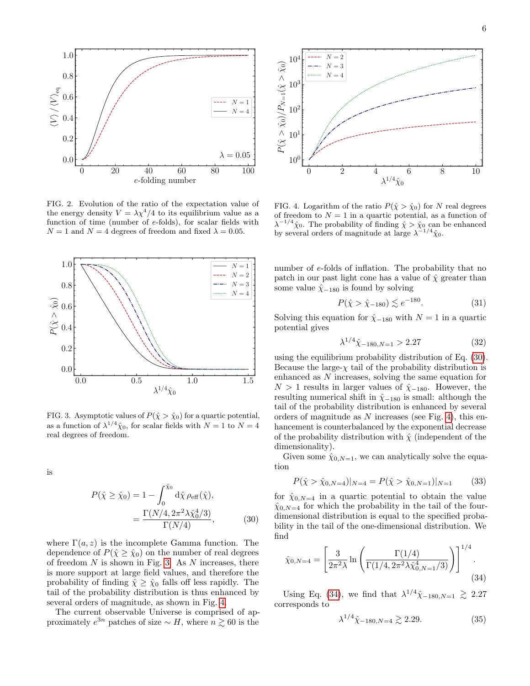

<span id="page-5-0"></span>FIG. 2. Evolution of the ratio of the expectation value of the energy density  $V = \lambda \chi^4/4$  to its equilibrium value as a function of time (number of e-folds), for scalar fields with  $N = 1$  and  $N = 4$  degrees of freedom and fixed  $\lambda = 0.05$ .



<span id="page-5-1"></span>FIG. 3. Asymptotic values of  $P(\hat{\chi} > \hat{\chi}_0)$  for a quartic potential, as a function of  $\lambda^{1/4} \hat{\chi}_0$ , for scalar fields with  $N = 1$  to  $N = 4$ real degrees of freedom.

is

$$
P(\hat{\chi} \ge \hat{\chi}_0) = 1 - \int_0^{\hat{\chi}_0} d\hat{\chi} \,\rho_{\text{eff}}(\hat{\chi}),
$$
  
= 
$$
\frac{\Gamma(N/4, 2\pi^2 \lambda \hat{\chi}_0^4/3)}{\Gamma(N/4)},
$$
 (30)

where  $\Gamma(a, z)$  is the incomplete Gamma function. The dependence of  $P(\hat{\chi} \geq \hat{\chi}_0)$  on the number of real degrees of freedom  $N$  is shown in Fig. [3.](#page-5-1) As  $N$  increases, there is more support at large field values, and therefore the probability of finding  $\hat{\chi} \geq \hat{\chi}_0$  falls off less rapidly. The tail of the probability distribution is thus enhanced by several orders of magnitude, as shown in Fig. [4.](#page-5-2)

The current observable Universe is comprised of approximately  $e^{3n}$  patches of size ~ H, where  $n \gtrsim 60$  is the



<span id="page-5-2"></span>FIG. 4. Logarithm of the ratio  $P(\hat{\chi} > \hat{\chi}_0)$  for N real degrees of freedom to  $N = 1$  in a quartic potential, as a function of  $\lambda^{-1/4} \hat{\chi}_0$ . The probability of finding  $\hat{\chi} > \hat{\chi}_0$  can be enhanced by several orders of magnitude at large  $\lambda^{-1/4} \hat{\chi}_0$ .

number of e-folds of inflation. The probability that no patch in our past light cone has a value of  $\hat{\chi}$  greater than some value  $\hat{\chi}_{-180}$  is found by solving

<span id="page-5-5"></span>
$$
P(\hat{\chi} > \hat{\chi}_{-180}) \lesssim e^{-180}.
$$
 (31)

Solving this equation for  $\hat{\chi}_{-180}$  with  $N = 1$  in a quartic potential gives

<span id="page-5-6"></span>
$$
\lambda^{1/4} \hat{\chi}_{-180, N=1} > 2.27 \tag{32}
$$

using the equilibrium probability distribution of Eq. [\(30\)](#page-5-3). Because the large- $\chi$  tail of the probability distribution is enhanced as N increases, solving the same equation for  $N > 1$  results in larger values of  $\hat{\chi}_{-180}$ . However, the resulting numerical shift in  $\hat{\chi}_{-180}$  is small: although the tail of the probability distribution is enhanced by several orders of magnitude as  $N$  increases (see Fig. [4\)](#page-5-2), this enhancement is counterbalanced by the exponential decrease of the probability distribution with  $\hat{\chi}$  (independent of the dimensionality).

Given some  $\hat{\chi}_{0,N=1}$ , we can analytically solve the equation

$$
P(\hat{\chi} > \hat{\chi}_{0,N=4})|_{N=4} = P(\hat{\chi} > \hat{\chi}_{0,N=1})|_{N=1}
$$
 (33)

<span id="page-5-3"></span>for  $\hat{\chi}_{0,N=4}$  in a quartic potential to obtain the value  $\hat{\chi}_{0,N=4}$  for which the probability in the tail of the fourdimensional distribution is equal to the specified probability in the tail of the one-dimensional distribution. We find

$$
\hat{\chi}_{0,N=4} = \left[\frac{3}{2\pi^2\lambda} \ln \left(\frac{\Gamma(1/4)}{\Gamma(1/4, 2\pi^2\lambda \hat{\chi}_{0,N=1}^4/3)}\right)\right]^{1/4}.
$$
\n(34)

Using Eq. [\(34\)](#page-5-4), we find that  $\lambda^{1/4} \hat{\chi}_{-180,N=1} \geq 2.27$ corresponds to

<span id="page-5-7"></span><span id="page-5-4"></span>
$$
\lambda^{1/4} \hat{\chi}_{-180, N=4} \gtrsim 2.29. \tag{35}
$$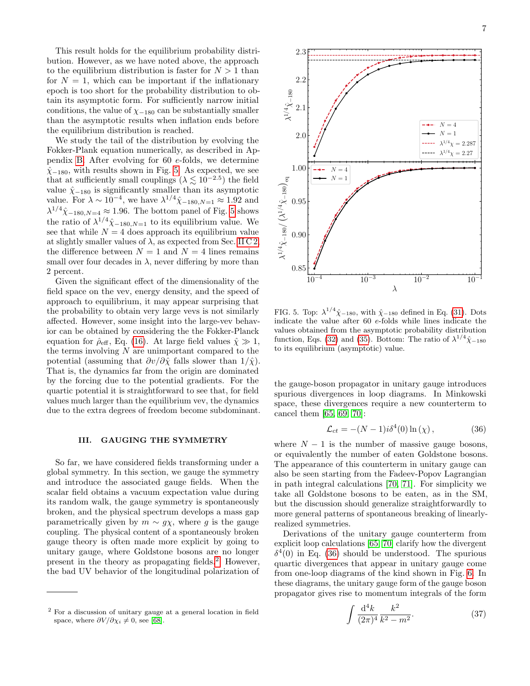This result holds for the equilibrium probability distribution. However, as we have noted above, the approach to the equilibrium distribution is faster for  $N > 1$  than for  $N = 1$ , which can be important if the inflationary epoch is too short for the probability distribution to obtain its asymptotic form. For sufficiently narrow initial conditions, the value of  $\chi_{-180}$  can be substantially smaller than the asymptotic results when inflation ends before the equilibrium distribution is reached.

We study the tail of the distribution by evolving the Fokker-Plank equation numerically, as described in Appendix [B.](#page-14-4) After evolving for 60 e-folds, we determine  $\hat{\chi}_{-180}$ , with results shown in Fig. [5.](#page-6-1) As expected, we see that at sufficiently small couplings  $(\lambda \lesssim 10^{-2.5})$  the field value  $\hat{\chi}_{-180}$  is significantly smaller than its asymptotic value. For  $\lambda \sim 10^{-4}$ , we have  $\lambda^{1/4} \hat{\chi}_{-180, N=1} \approx 1.92$  and  $\lambda^{1/4} \hat{\chi}_{-180, N=4} \approx 1.96$ . The bottom panel of Fig. [5](#page-6-1) shows the ratio of  $\lambda^{1/4} \hat{\chi}_{-180,N=1}$  to its equilibrium value. We see that while  $N = 4$  does approach its equilibrium value at slightly smaller values of  $\lambda$ , as expected from Sec. [II C 2,](#page-4-2) the difference between  $N = 1$  and  $N = 4$  lines remains small over four decades in  $\lambda$ , never differing by more than 2 percent.

Given the significant effect of the dimensionality of the field space on the vev, energy density, and the speed of approach to equilibrium, it may appear surprising that the probability to obtain very large vevs is not similarly affected. However, some insight into the large-vev behavior can be obtained by considering the the Fokker-Planck equation for  $\hat{\rho}_{\text{eff}}$ , Eq. [\(16\)](#page-2-5). At large field values  $\hat{\chi} \gg 1$ , the terms involving  $N$  are unimportant compared to the potential (assuming that  $\partial v/\partial \hat{\chi}$  falls slower than  $1/\hat{\chi}$ ). That is, the dynamics far from the origin are dominated by the forcing due to the potential gradients. For the quartic potential it is straightforward to see that, for field values much larger than the equilibrium vev, the dynamics due to the extra degrees of freedom become subdominant.

# <span id="page-6-0"></span>III. GAUGING THE SYMMETRY

So far, we have considered fields transforming under a global symmetry. In this section, we gauge the symmetry and introduce the associated gauge fields. When the scalar field obtains a vacuum expectation value during its random walk, the gauge symmetry is spontaneously broken, and the physical spectrum develops a mass gap parametrically given by  $m \sim g\chi$ , where g is the gauge coupling. The physical content of a spontaneously broken gauge theory is often made more explicit by going to unitary gauge, where Goldstone bosons are no longer present in the theory as propagating fields.[2](#page-6-2) However, the bad UV behavior of the longitudinal polarization of



<span id="page-6-1"></span>FIG. 5. Top:  $\lambda^{1/4} \hat{\chi}_{-180}$ , with  $\hat{\chi}_{-180}$  defined in Eq. [\(31\)](#page-5-5). Dots indicate the value after 60 e-folds while lines indicate the values obtained from the asymptotic probability distribution function, Eqs. [\(32\)](#page-5-6) and [\(35\)](#page-5-7). Bottom: The ratio of  $\lambda^{1/4}\hat{\chi}_{-180}$ to its equilibrium (asymptotic) value.

the gauge-boson propagator in unitary gauge introduces spurious divergences in loop diagrams. In Minkowski space, these divergences require a new counterterm to cancel them [\[65,](#page-15-24) [69,](#page-16-2) [70\]](#page-16-3):

<span id="page-6-3"></span>
$$
\mathcal{L}_{ct} = -(N-1)i\delta^4(0)\ln(\chi)\,,\tag{36}
$$

where  $N - 1$  is the number of massive gauge bosons, or equivalently the number of eaten Goldstone bosons. The appearance of this counterterm in unitary gauge can also be seen starting from the Fadeev-Popov Lagrangian in path integral calculations [\[70,](#page-16-3) [71\]](#page-16-4). For simplicity we take all Goldstone bosons to be eaten, as in the SM, but the discussion should generalize straightforwardly to more general patterns of spontaneous breaking of linearlyrealized symmetries.

Derivations of the unitary gauge counterterm from explicit loop calculations [\[65,](#page-15-24) [70\]](#page-16-3) clarify how the divergent  $\delta^4(0)$  in Eq. [\(36\)](#page-6-3) should be understood. The spurious quartic divergences that appear in unitary gauge come from one-loop diagrams of the kind shown in Fig. [6.](#page-7-0) In these diagrams, the unitary gauge form of the gauge boson propagator gives rise to momentum integrals of the form

<span id="page-6-4"></span>
$$
\int \frac{\mathrm{d}^4 k}{(2\pi)^4} \frac{k^2}{k^2 - m^2}.
$$
 (37)

<span id="page-6-2"></span><sup>2</sup> For a discussion of unitary gauge at a general location in field space, where  $\partial V/\partial \chi_i \neq 0$ , see [\[68\]](#page-16-1).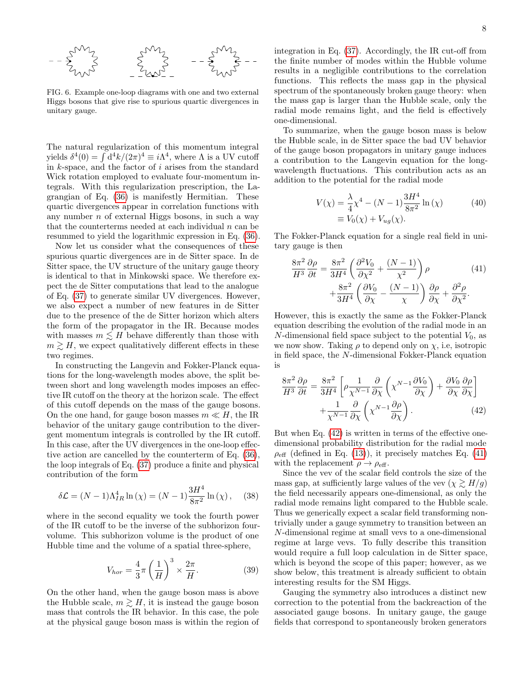

<span id="page-7-0"></span>FIG. 6. Example one-loop diagrams with one and two external Higgs bosons that give rise to spurious quartic divergences in unitary gauge.

The natural regularization of this momentum integral yields  $\delta^4(0) = \int d^4k/(2\pi)^4 \equiv i\Lambda^4$ , where  $\Lambda$  is a UV cutoff in  $k$ -space, and the factor of  $i$  arises from the standard Wick rotation employed to evaluate four-momentum integrals. With this regularization prescription, the Lagrangian of Eq. [\(36\)](#page-6-3) is manifestly Hermitian. These quartic divergences appear in correlation functions with any number  $n$  of external Higgs bosons, in such a way that the counterterms needed at each individual  $n$  can be resummed to yield the logarithmic expression in Eq. [\(36\)](#page-6-3).

Now let us consider what the consequences of these spurious quartic divergences are in de Sitter space. In de Sitter space, the UV structure of the unitary gauge theory is identical to that in Minkowski space. We therefore expect the de Sitter computations that lead to the analogue of Eq. [\(37\)](#page-6-4) to generate similar UV divergences. However, we also expect a number of new features in de Sitter due to the presence of the de Sitter horizon which alters the form of the propagator in the IR. Because modes with masses  $m \leq H$  behave differently than those with  $m \gtrsim H$ , we expect qualitatively different effects in these two regimes.

In constructing the Langevin and Fokker-Planck equations for the long-wavelength modes above, the split between short and long wavelength modes imposes an effective IR cutoff on the theory at the horizon scale. The effect of this cutoff depends on the mass of the gauge bosons. On the one hand, for gauge boson masses  $m \ll H$ , the IR behavior of the unitary gauge contribution to the divergent momentum integrals is controlled by the IR cutoff. In this case, after the UV divergences in the one-loop effective action are cancelled by the counterterm of Eq. [\(36\)](#page-6-3), the loop integrals of Eq. [\(37\)](#page-6-4) produce a finite and physical contribution of the form

$$
\delta \mathcal{L} = (N - 1) \Lambda_{IR}^4 \ln(\chi) = (N - 1) \frac{3H^4}{8\pi^2} \ln(\chi), \quad (38)
$$

where in the second equality we took the fourth power of the IR cutoff to be the inverse of the subhorizon fourvolume. This subhorizon volume is the product of one Hubble time and the volume of a spatial three-sphere,

$$
V_{hor} = \frac{4}{3}\pi \left(\frac{1}{H}\right)^3 \times \frac{2\pi}{H}.
$$
 (39)

On the other hand, when the gauge boson mass is above the Hubble scale,  $m \gtrsim H$ , it is instead the gauge boson mass that controls the IR behavior. In this case, the pole at the physical gauge boson mass is within the region of integration in Eq. [\(37\)](#page-6-4). Accordingly, the IR cut-off from the finite number of modes within the Hubble volume results in a negligible contributions to the correlation functions. This reflects the mass gap in the physical spectrum of the spontaneously broken gauge theory: when the mass gap is larger than the Hubble scale, only the radial mode remains light, and the field is effectively one-dimensional.

To summarize, when the gauge boson mass is below the Hubble scale, in de Sitter space the bad UV behavior of the gauge boson propagators in unitary gauge induces a contribution to the Langevin equation for the longwavelength fluctuations. This contribution acts as an addition to the potential for the radial mode

$$
V(\chi) = \frac{\lambda}{4} \chi^4 - (N - 1) \frac{3H^4}{8\pi^2} \ln(\chi)
$$
  
=  $V_0(\chi) + V_{ug}(\chi)$ . (40)

The Fokker-Planck equation for a single real field in unitary gauge is then

<span id="page-7-2"></span>
$$
\frac{8\pi^2}{H^3} \frac{\partial \rho}{\partial t} = \frac{8\pi^2}{3H^4} \left( \frac{\partial^2 V_0}{\partial \chi^2} + \frac{(N-1)}{\chi^2} \right) \rho \qquad (41)
$$

$$
+ \frac{8\pi^2}{3H^4} \left( \frac{\partial V_0}{\partial \chi} - \frac{(N-1)}{\chi} \right) \frac{\partial \rho}{\partial \chi} + \frac{\partial^2 \rho}{\partial \chi^2}.
$$

However, this is exactly the same as the Fokker-Planck equation describing the evolution of the radial mode in an N-dimensional field space subject to the potential  $V_0$ , as we now show. Taking  $\rho$  to depend only on  $\chi$ , i.e, isotropic in field space, the N-dimensional Fokker-Planck equation is

<span id="page-7-1"></span>
$$
\frac{8\pi^2}{H^3} \frac{\partial \rho}{\partial t} = \frac{8\pi^2}{3H^4} \left[ \rho \frac{1}{\chi^{N-1}} \frac{\partial}{\partial \chi} \left( \chi^{N-1} \frac{\partial V_0}{\partial \chi} \right) + \frac{\partial V_0}{\partial \chi} \frac{\partial \rho}{\partial \chi} \right] + \frac{1}{\chi^{N-1}} \frac{\partial}{\partial \chi} \left( \chi^{N-1} \frac{\partial \rho}{\partial \chi} \right). \tag{42}
$$

But when Eq. [\(42\)](#page-7-1) is written in terms of the effective onedimensional probability distribution for the radial mode  $\rho_{\text{eff}}$  (defined in Eq. [\(13\)](#page-2-6)), it precisely matches Eq. [\(41\)](#page-7-2) with the replacement  $\rho \rightarrow \rho_{\text{eff}}$ .

Since the vev of the scalar field controls the size of the mass gap, at sufficiently large values of the vev  $(\chi \geq H/g)$ the field necessarily appears one-dimensional, as only the radial mode remains light compared to the Hubble scale. Thus we generically expect a scalar field transforming nontrivially under a gauge symmetry to transition between an N-dimensional regime at small vevs to a one-dimensional regime at large vevs. To fully describe this transition would require a full loop calculation in de Sitter space, which is beyond the scope of this paper; however, as we show below, this treatment is already sufficient to obtain interesting results for the SM Higgs.

Gauging the symmetry also introduces a distinct new correction to the potential from the backreaction of the associated gauge bosons. In unitary gauge, the gauge fields that correspond to spontaneously broken generators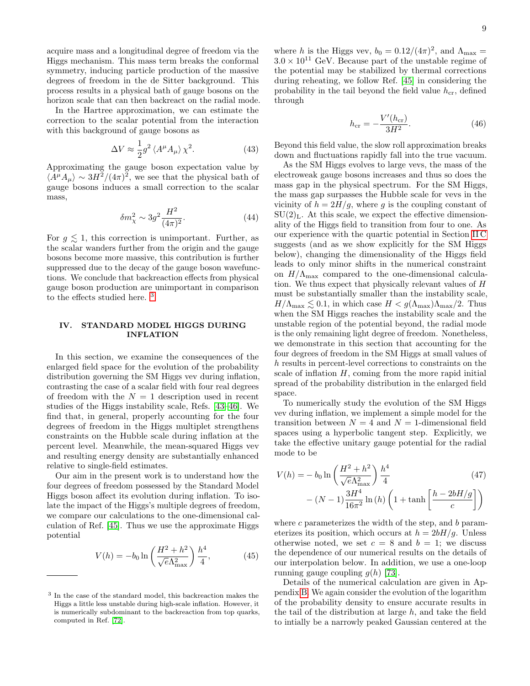acquire mass and a longitudinal degree of freedom via the Higgs mechanism. This mass term breaks the conformal symmetry, inducing particle production of the massive degrees of freedom in the de Sitter background. This process results in a physical bath of gauge bosons on the horizon scale that can then backreact on the radial mode.

In the Hartree approximation, we can estimate the correction to the scalar potential from the interaction with this background of gauge bosons as

$$
\Delta V \approx \frac{1}{2} g^2 \left\langle A^\mu A_\mu \right\rangle \chi^2. \tag{43}
$$

Approximating the gauge boson expectation value by  $\langle A^{\mu}A_{\mu}\rangle \sim 3H^2/(4\pi)^2$ , we see that the physical bath of gauge bosons induces a small correction to the scalar mass,

$$
\delta m_{\chi}^2 \sim 3g^2 \frac{H^2}{(4\pi)^2}.
$$
 (44)

For  $g \lesssim 1$ , this correction is unimportant. Further, as the scalar wanders further from the origin and the gauge bosons become more massive, this contribution is further suppressed due to the decay of the gauge boson wavefunctions. We conclude that backreaction effects from physical gauge boson production are unimportant in comparison to the effects studied here. [3](#page-8-1)

# <span id="page-8-0"></span>IV. STANDARD MODEL HIGGS DURING INFLATION

In this section, we examine the consequences of the enlarged field space for the evolution of the probability distribution governing the SM Higgs vev during inflation, contrasting the case of a scalar field with four real degrees of freedom with the  $N = 1$  description used in recent studies of the Higgs instability scale, Refs. [\[43](#page-15-15)[–46\]](#page-15-16). We find that, in general, properly accounting for the four degrees of freedom in the Higgs multiplet strengthens constraints on the Hubble scale during inflation at the percent level. Meanwhile, the mean-squared Higgs vev and resulting energy density are substantially enhanced relative to single-field estimates.

Our aim in the present work is to understand how the four degrees of freedom possessed by the Standard Model Higgs boson affect its evolution during inflation. To isolate the impact of the Higgs's multiple degrees of freedom, we compare our calculations to the one-dimensional calculation of Ref. [\[45\]](#page-15-26). Thus we use the approximate Higgs potential

$$
V(h) = -b_0 \ln\left(\frac{H^2 + h^2}{\sqrt{e}\Lambda_{\text{max}}^2}\right) \frac{h^4}{4},\tag{45}
$$

where h is the Higgs vev,  $b_0 = 0.12/(4\pi)^2$ , and  $\Lambda_{\text{max}} =$  $3.0 \times 10^{11}$  GeV. Because part of the unstable regime of the potential may be stabilized by thermal corrections during reheating, we follow Ref. [\[45\]](#page-15-26) in considering the probability in the tail beyond the field value  $h_{cr}$ , defined through

<span id="page-8-4"></span>
$$
h_{\rm cr} = -\frac{V'(h_{\rm cr})}{3H^2}.
$$
\n(46)

Beyond this field value, the slow roll approximation breaks down and fluctuations rapidly fall into the true vacuum.

As the SM Higgs evolves to large vevs, the mass of the electroweak gauge bosons increases and thus so does the mass gap in the physical spectrum. For the SM Higgs, the mass gap surpasses the Hubble scale for vevs in the vicinity of  $h = 2H/g$ , where g is the coupling constant of  $SU(2)<sub>L</sub>$ . At this scale, we expect the effective dimensionality of the Higgs field to transition from four to one. As our experience with the quartic potential in Section [II C](#page-3-2) suggests (and as we show explicitly for the SM Higgs below), changing the dimensionality of the Higgs field leads to only minor shifts in the numerical constraint on  $H/\Lambda_{\text{max}}$  compared to the one-dimensional calculation. We thus expect that physically relevant values of H must be substantially smaller than the instability scale,  $H/\Lambda_{\text{max}} \lesssim 0.1$ , in which case  $H < g(\Lambda_{\text{max}})\Lambda_{\text{max}}/2$ . Thus when the SM Higgs reaches the instability scale and the unstable region of the potential beyond, the radial mode is the only remaining light degree of freedom. Nonetheless, we demonstrate in this section that accounting for the four degrees of freedom in the SM Higgs at small values of h results in percent-level corrections to constraints on the scale of inflation  $H$ , coming from the more rapid initial spread of the probability distribution in the enlarged field space.

To numerically study the evolution of the SM Higgs vev during inflation, we implement a simple model for the transition between  $N = 4$  and  $N = 1$ -dimensional field spaces using a hyperbolic tangent step. Explicitly, we take the effective unitary gauge potential for the radial mode to be

<span id="page-8-3"></span>
$$
V(h) = -b_0 \ln \left(\frac{H^2 + h^2}{\sqrt{e}\Lambda_{\text{max}}^2}\right) \frac{h^4}{4}
$$
 (47)  
 
$$
- (N - 1) \frac{3H^4}{16\pi^2} \ln (h) \left(1 + \tanh \left[\frac{h - 2bH/g}{c}\right]\right)
$$

<span id="page-8-2"></span>where c parameterizes the width of the step, and  $b$  parameterizes its position, which occurs at  $h = 2bH/g$ . Unless otherwise noted, we set  $c = 8$  and  $b = 1$ ; we discuss the dependence of our numerical results on the details of our interpolation below. In addition, we use a one-loop running gauge coupling  $g(h)$  [\[73\]](#page-16-6).

Details of the numerical calculation are given in Appendix [B.](#page-14-4) We again consider the evolution of the logarithm of the probability density to ensure accurate results in the tail of the distribution at large  $h$ , and take the field to intially be a narrowly peaked Gaussian centered at the

<span id="page-8-1"></span><sup>3</sup> In the case of the standard model, this backreaction makes the Higgs a little less unstable during high-scale inflation. However, it is numerically subdominant to the backreaction from top quarks, computed in Ref. [\[72\]](#page-16-5).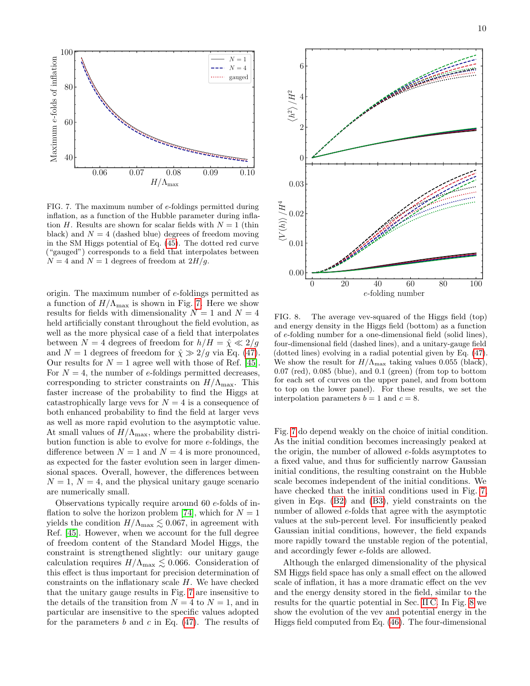

<span id="page-9-0"></span>FIG. 7. The maximum number of e-foldings permitted during inflation, as a function of the Hubble parameter during inflation H. Results are shown for scalar fields with  $N = 1$  (thin black) and  $N = 4$  (dashed blue) degrees of freedom moving in the SM Higgs potential of Eq. [\(45\)](#page-8-2). The dotted red curve ("gauged") corresponds to a field that interpolates between  $N = 4$  and  $N = 1$  degrees of freedom at  $2H/g$ .

origin. The maximum number of e-foldings permitted as a function of  $H/\Lambda_{\text{max}}$  is shown in Fig. [7.](#page-9-0) Here we show results for fields with dimensionality  $N = 1$  and  $N = 4$ held artificially constant throughout the field evolution, as well as the more physical case of a field that interpolates between  $N = 4$  degrees of freedom for  $h/H = \hat{\chi} \ll 2/g$ and  $N = 1$  degrees of freedom for  $\hat{\chi} \gg 2/g$  via Eq. [\(47\)](#page-8-3). Our results for  $N = 1$  agree well with those of Ref. [\[45\]](#page-15-26). For  $N = 4$ , the number of e-foldings permitted decreases, corresponding to stricter constraints on  $H/\Lambda_{\text{max}}$ . This faster increase of the probability to find the Higgs at catastrophically large vevs for  $N = 4$  is a consequence of both enhanced probability to find the field at larger vevs as well as more rapid evolution to the asymptotic value. At small values of  $H/\Lambda_{\text{max}}$ , where the probability distribution function is able to evolve for more e-foldings, the difference between  $N = 1$  and  $N = 4$  is more pronounced, as expected for the faster evolution seen in larger dimensional spaces. Overall, however, the differences between  $N = 1, N = 4$ , and the physical unitary gauge scenario are numerically small.

Observations typically require around 60 e-folds of in-flation to solve the horizon problem [\[74\]](#page-16-7), which for  $N = 1$ yields the condition  $H/\Lambda_{\text{max}} \lesssim 0.067$ , in agreement with Ref. [\[45\]](#page-15-26). However, when we account for the full degree of freedom content of the Standard Model Higgs, the constraint is strengthened slightly: our unitary gauge calculation requires  $H/\Lambda_{\text{max}} \lesssim 0.066$ . Consideration of this effect is thus important for precision determination of constraints on the inflationary scale H. We have checked that the unitary gauge results in Fig. [7](#page-9-0) are insensitive to the details of the transition from  $N = 4$  to  $N = 1$ , and in particular are insensitive to the specific values adopted for the parameters b and c in Eq.  $(47)$ . The results of



<span id="page-9-1"></span>FIG. 8. The average vev-squared of the Higgs field (top) and energy density in the Higgs field (bottom) as a function of e-folding number for a one-dimensional field (solid lines), four-dimensional field (dashed lines), and a unitary-gauge field (dotted lines) evolving in a radial potential given by Eq. [\(47\)](#page-8-3). We show the result for  $H/\Lambda_{\text{max}}$  taking values 0.055 (black), 0.07 (red), 0.085 (blue), and 0.1 (green) (from top to bottom for each set of curves on the upper panel, and from bottom to top on the lower panel). For these results, we set the interpolation parameters  $b = 1$  and  $c = 8$ .

Fig. [7](#page-9-0) do depend weakly on the choice of initial condition. As the initial condition becomes increasingly peaked at the origin, the number of allowed e-folds asymptotes to a fixed value, and thus for sufficiently narrow Gaussian initial conditions, the resulting constraint on the Hubble scale becomes independent of the initial conditions. We have checked that the initial conditions used in Fig. [7,](#page-9-0) given in Eqs. [\(B2\)](#page-14-6) and [\(B3\)](#page-14-5), yield constraints on the number of allowed e-folds that agree with the asymptotic values at the sub-percent level. For insufficiently peaked Gaussian initial conditions, however, the field expands more rapidly toward the unstable region of the potential, and accordingly fewer e-folds are allowed.

Although the enlarged dimensionality of the physical SM Higgs field space has only a small effect on the allowed scale of inflation, it has a more dramatic effect on the vev and the energy density stored in the field, similar to the results for the quartic potential in Sec. [II C.](#page-3-2) In Fig. [8](#page-9-1) we show the evolution of the vev and potential energy in the Higgs field computed from Eq. [\(46\)](#page-8-4). The four-dimensional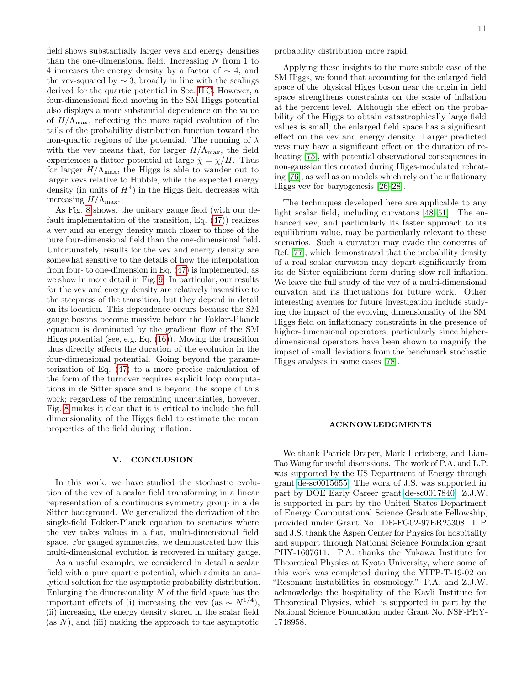field shows substantially larger vevs and energy densities than the one-dimensional field. Increasing  $N$  from 1 to 4 increases the energy density by a factor of ∼ 4, and the vev-squared by  $\sim$  3, broadly in line with the scalings derived for the quartic potential in Sec. [II C.](#page-3-2) However, a four-dimensional field moving in the SM Higgs potential also displays a more substantial dependence on the value of  $H/\Lambda_{\text{max}}$ , reflecting the more rapid evolution of the tails of the probability distribution function toward the non-quartic regions of the potential. The running of  $\lambda$ with the vev means that, for larger  $H/\Lambda_{\text{max}}$ , the field experiences a flatter potential at large  $\hat{\chi} = \chi/H$ . Thus for larger  $H/\Lambda_{\text{max}}$ , the Higgs is able to wander out to larger vevs relative to Hubble, while the expected energy density (in units of  $H<sup>4</sup>$ ) in the Higgs field decreases with increasing  $H/\Lambda_{\text{max}}$ .

As Fig. [8](#page-9-1) shows, the unitary gauge field (with our default implementation of the transition, Eq. [\(47\)](#page-8-3)) realizes a vev and an energy density much closer to those of the pure four-dimensional field than the one-dimensional field. Unfortunately, results for the vev and energy density are somewhat sensitive to the details of how the interpolation from four- to one-dimension in Eq. [\(47\)](#page-8-3) is implemented, as we show in more detail in Fig. [9.](#page-11-1) In particular, our results for the vev and energy density are relatively insensitive to the steepness of the transition, but they depend in detail on its location. This dependence occurs because the SM gauge bosons become massive before the Fokker-Planck equation is dominated by the gradient flow of the SM Higgs potential (see, e.g. Eq. [\(16\)](#page-2-5)). Moving the transition thus directly affects the duration of the evolution in the four-dimensional potential. Going beyond the parameterization of Eq. [\(47\)](#page-8-3) to a more precise calculation of the form of the turnover requires explicit loop computations in de Sitter space and is beyond the scope of this work; regardless of the remaining uncertainties, however, Fig. [8](#page-9-1) makes it clear that it is critical to include the full dimensionality of the Higgs field to estimate the mean properties of the field during inflation.

# <span id="page-10-0"></span>V. CONCLUSION

In this work, we have studied the stochastic evolution of the vev of a scalar field transforming in a linear representation of a continuous symmetry group in a de Sitter background. We generalized the derivation of the single-field Fokker-Planck equation to scenarios where the vev takes values in a flat, multi-dimensional field space. For gauged symmetries, we demonstrated how this multi-dimensional evolution is recovered in unitary gauge.

As a useful example, we considered in detail a scalar field with a pure quartic potential, which admits an analytical solution for the asymptotic probability distribution. Enlarging the dimensionality  $N$  of the field space has the important effects of (i) increasing the vev (as  $\sim N^{1/4}$ ), (ii) increasing the energy density stored in the scalar field (as  $N$ ), and (iii) making the approach to the asymptotic

Applying these insights to the more subtle case of the SM Higgs, we found that accounting for the enlarged field space of the physical Higgs boson near the origin in field space strengthens constraints on the scale of inflation at the percent level. Although the effect on the probability of the Higgs to obtain catastrophically large field values is small, the enlarged field space has a significant effect on the vev and energy density. Larger predicted vevs may have a significant effect on the duration of reheating [\[75\]](#page-16-8), with potential observational consequences in non-gaussianities created during Higgs-modulated reheating [\[76\]](#page-16-9), as well as on models which rely on the inflationary Higgs vev for baryogenesis [\[26](#page-15-9)[–28\]](#page-15-27).

The techniques developed here are applicable to any light scalar field, including curvatons [\[48](#page-15-18)[–51\]](#page-15-28). The enhanced vev, and particularly its faster approach to its equilibrium value, may be particularly relevant to these scenarios. Such a curvaton may evade the concerns of Ref. [\[77\]](#page-16-10), which demonstrated that the probability density of a real scalar curvaton may depart significantly from its de Sitter equilibrium form during slow roll inflation. We leave the full study of the vev of a multi-dimensional curvaton and its fluctuations for future work. Other interesting avenues for future investigation include studying the impact of the evolving dimensionality of the SM Higgs field on inflationary constraints in the presence of higher-dimensional operators, particularly since higherdimensional operators have been shown to magnify the impact of small deviations from the benchmark stochastic Higgs analysis in some cases [\[78\]](#page-16-11).

### ACKNOWLEDGMENTS

We thank Patrick Draper, Mark Hertzberg, and Lian-Tao Wang for useful discussions. The work of P.A. and L.P. was supported by the US Department of Energy through grant [de-sc0015655.](http://arxiv.org/abs/de-sc/0015655) The work of J.S. was supported in part by DOE Early Career grant [de-sc0017840.](http://arxiv.org/abs/de-sc/0017840) Z.J.W. is supported in part by the United States Department of Energy Computational Science Graduate Fellowship, provided under Grant No. DE-FG02-97ER25308. L.P. and J.S. thank the Aspen Center for Physics for hospitality and support through National Science Foundation grant PHY-1607611. P.A. thanks the Yukawa Institute for Theoretical Physics at Kyoto University, where some of this work was completed during the YITP-T-19-02 on "Resonant instabilities in cosmology." P.A. and Z.J.W. acknowledge the hospitality of the Kavli Institute for Theoretical Physics, which is supported in part by the National Science Foundation under Grant No. NSF-PHY-1748958.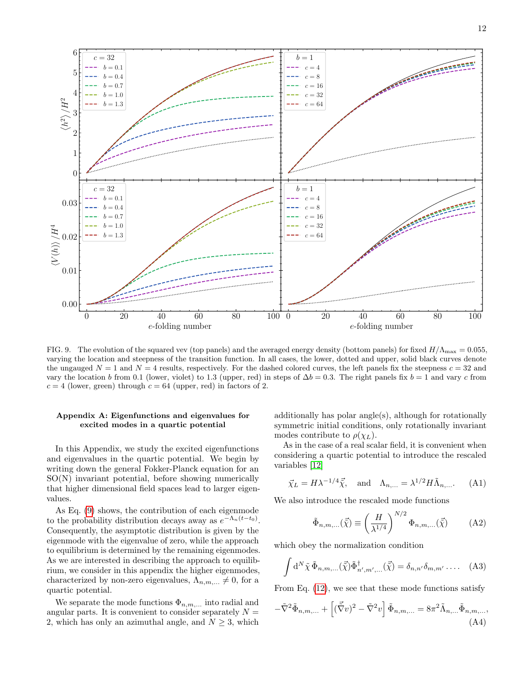

<span id="page-11-1"></span>FIG. 9. The evolution of the squared vev (top panels) and the averaged energy density (bottom panels) for fixed  $H/\Lambda_{\text{max}} = 0.055$ , varying the location and steepness of the transition function. In all cases, the lower, dotted and upper, solid black curves denote the ungauged  $N = 1$  and  $N = 4$  results, respectively. For the dashed colored curves, the left panels fix the steepness  $c = 32$  and vary the location b from 0.1 (lower, violet) to 1.3 (upper, red) in steps of  $\Delta b = 0.3$ . The right panels fix  $b = 1$  and vary c from  $c = 4$  (lower, green) through  $c = 64$  (upper, red) in factors of 2.

# <span id="page-11-0"></span>Appendix A: Eigenfunctions and eigenvalues for excited modes in a quartic potential

In this Appendix, we study the excited eigenfunctions and eigenvalues in the quartic potential. We begin by writing down the general Fokker-Planck equation for an SO(N) invariant potential, before showing numerically that higher dimensional field spaces lead to larger eigenvalues.

As Eq. [\(9\)](#page-2-1) shows, the contribution of each eigenmode to the probability distribution decays away as  $e^{-\Lambda_n(t-t_0)}$ . Consequently, the asymptotic distribution is given by the eigenmode with the eigenvalue of zero, while the approach to equilibrium is determined by the remaining eigenmodes. As we are interested in describing the approach to equilibrium, we consider in this appendix the higher eigenmodes, characterized by non-zero eigenvalues,  $\Lambda_{n,m,\dots} \neq 0$ , for a quartic potential.

We separate the mode functions  $\Phi_{n,m,...}$  into radial and angular parts. It is convenient to consider separately  $N =$ 2, which has only an azimuthal angle, and  $N \geq 3$ , which

additionally has polar angle(s), although for rotationally symmetric initial conditions, only rotationally invariant modes contribute to  $\rho(\chi_L)$ .

As in the case of a real scalar field, it is convenient when considering a quartic potential to introduce the rescaled variables [\[12\]](#page-15-0)

$$
\vec{\chi}_L = H\lambda^{-1/4}\vec{\tilde{\chi}}, \quad \text{and} \quad \Lambda_{n,\dots} = \lambda^{1/2}H\tilde{\Lambda}_{n,\dots}.
$$
 (A1)

We also introduce the rescaled mode functions

$$
\tilde{\Phi}_{n,m,...}(\vec{\tilde{\chi}}) \equiv \left(\frac{H}{\lambda^{1/4}}\right)^{N/2} \Phi_{n,m,...}(\vec{\tilde{\chi}})
$$
 (A2)

which obey the normalization condition

$$
\int d^N \tilde{\chi} \, \tilde{\Phi}_{n,m,...}(\vec{\tilde{\chi}}) \tilde{\Phi}_{n',m',...}^{\dagger}(\vec{\tilde{\chi}}) = \delta_{n,n'} \delta_{m,m'} \dots .
$$
 (A3)

From Eq. [\(12\)](#page-2-3), we see that these mode functions satisfy

$$
-\tilde{\nabla}^2 \tilde{\Phi}_{n,m,\dots} + \left[ (\vec{\tilde{\nabla}} v)^2 - \tilde{\nabla}^2 v \right] \tilde{\Phi}_{n,m,\dots} = 8\pi^2 \tilde{\Lambda}_{n,\dots} \tilde{\Phi}_{n,m,\dots},
$$
\n(A4)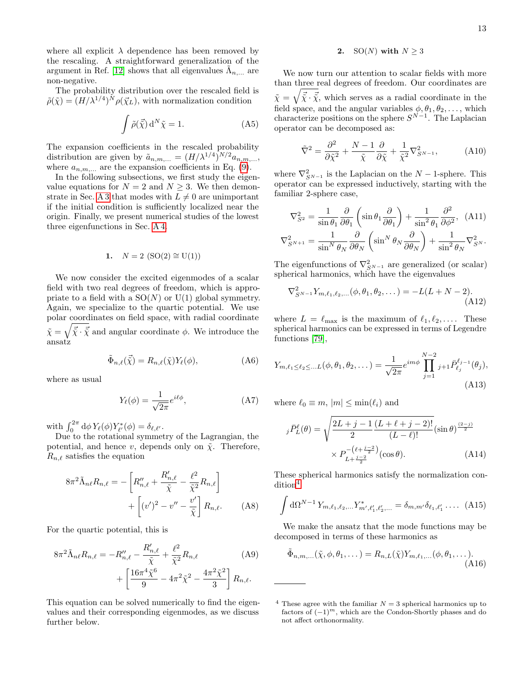where all explicit  $\lambda$  dependence has been removed by the rescaling. A straightforward generalization of the argument in Ref. [\[12\]](#page-15-0) shows that all eigenvalues  $\tilde{\Lambda}_{n,\dots}$  are non-negative.

The probability distribution over the rescaled field is  $\tilde{\rho}(\tilde{\chi}) = (H/\lambda^{1/4})^N \rho(\vec{\chi}_L)$ , with normalization condition

$$
\int \tilde{\rho}(\vec{\tilde{\chi}}) d^N \tilde{\chi} = 1.
$$
 (A5)

The expansion coefficients in the rescaled probability distribution are given by  $\tilde{a}_{n,m,...} = (H/\lambda^{1/4})^{N/2} a_{n,m,...}$ , where  $a_{n,m}$  are the expansion coefficients in Eq. [\(9\)](#page-2-1).

In the following subsections, we first study the eigenvalue equations for  $N = 2$  and  $N \geq 3$ . We then demon-strate in Sec. [A 3](#page-13-0) that modes with  $L \neq 0$  are unimportant if the initial condition is sufficiently localized near the origin. Finally, we present numerical studies of the lowest three eigenfunctions in Sec. [A 4.](#page-13-1)

1. 
$$
N = 2
$$
 (SO(2)  $\cong$  U(1))

We now consider the excited eigenmodes of a scalar field with two real degrees of freedom, which is appropriate to a field with a  $SO(N)$  or  $U(1)$  global symmetry. Again, we specialize to the quartic potential. We use polar coordinates on field space, with radial coordinate  $\tilde{\chi} = \sqrt{\vec{\tilde{\chi}} \cdot \vec{\tilde{\chi}}}$  and angular coordinate  $\phi$ . We introduce the ansatz

$$
\tilde{\Phi}_{n,\ell}(\vec{\tilde{\chi}}) = R_{n,\ell}(\tilde{\chi}) Y_{\ell}(\phi), \tag{A6}
$$

where as usual

$$
Y_{\ell}(\phi) = \frac{1}{\sqrt{2\pi}} e^{i\ell\phi},\tag{A7}
$$

with  $\int_0^{2\pi} d\phi Y_{\ell}(\phi) Y_{\ell'}^*(\phi) = \delta_{\ell,\ell'}.$ 

Due to the rotational symmetry of the Lagrangian, the potential, and hence v, depends only on  $\tilde{\chi}$ . Therefore,  $R_{n,\ell}$  satisfies the equation

$$
8\pi^2 \tilde{\Lambda}_{n\ell} R_{n,\ell} = -\left[ R''_{n,\ell} + \frac{R'_{n,\ell}}{\tilde{\chi}} - \frac{\ell^2}{\tilde{\chi}^2} R_{n,\ell} \right] + \left[ (v')^2 - v'' - \frac{v'}{\tilde{\chi}} \right] R_{n,\ell}.
$$
 (A8)

For the quartic potential, this is

$$
8\pi^2 \tilde{\Lambda}_{n\ell} R_{n,\ell} = -R''_{n,\ell} - \frac{R'_{n,\ell}}{\tilde{\chi}} + \frac{\ell^2}{\tilde{\chi}^2} R_{n,\ell} + \left[ \frac{16\pi^4 \tilde{\chi}^6}{9} - 4\pi^2 \tilde{\chi}^2 - \frac{4\pi^2 \tilde{\chi}^2}{3} \right] R_{n,\ell}.
$$
 (A9)

This equation can be solved numerically to find the eigenvalues and their corresponding eigenmodes, as we discuss further below.

# 2. SO(N) with  $N \geq 3$

We now turn our attention to scalar fields with more than three real degrees of freedom. Our coordinates are  $\tilde{\chi} = \sqrt{\vec{\tilde{\chi}} \cdot \vec{\tilde{\chi}}}$ , which serves as a radial coordinate in the field space, and the angular variables  $\phi, \theta_1, \theta_2, \dots$ , which characterize positions on the sphere  $S^{N-1}$ . The Laplacian operator can be decomposed as:

$$
\tilde{\nabla}^2 = \frac{\partial^2}{\partial \tilde{\chi}^2} + \frac{N-1}{\tilde{\chi}} \frac{\partial}{\partial \tilde{\chi}} + \frac{1}{\tilde{\chi}^2} \nabla_{S^{N-1}}^2,\tag{A10}
$$

where  $\nabla_{S^{N-1}}^2$  is the Laplacian on the  $N-1$ -sphere. This operator can be expressed inductively, starting with the familiar 2-sphere case,

$$
\nabla_{S^2}^2 = \frac{1}{\sin \theta_1} \frac{\partial}{\partial \theta_1} \left( \sin \theta_1 \frac{\partial}{\partial \theta_1} \right) + \frac{1}{\sin^2 \theta_1} \frac{\partial^2}{\partial \phi^2}, \quad \text{(A11)}
$$

$$
\nabla_{S^{N+1}}^2 = \frac{1}{\sin^N \theta_N} \frac{\partial}{\partial \theta_N} \left( \sin^N \theta_N \frac{\partial}{\partial \theta_N} \right) + \frac{1}{\sin^2 \theta_N} \nabla_{S^N}^2.
$$

The eigenfunctions of  $\nabla_{S_{N-1}}^2$  are generalized (or scalar) spherical harmonics, which have the eigenvalues

$$
\nabla_{S^{N-1}}^2 Y_{m,\ell_1,\ell_2,...}(\phi,\theta_1,\theta_2,...) = -L(L+N-2). \tag{A12}
$$

where  $L = \ell_{\text{max}}$  is the maximum of  $\ell_1, \ell_2, \ldots$ . These spherical harmonics can be expressed in terms of Legendre functions [\[79\]](#page-16-12),

$$
Y_{m,\ell_1 \leq \ell_2 \leq \dots L}(\phi, \theta_1, \theta_2, \dots) = \frac{1}{\sqrt{2\pi}} e^{im\phi} \prod_{j=1}^{N-2} j_{+1} \bar{P}_{\ell_j}^{\ell_{j-1}}(\theta_j),
$$
\n(A13)

where  $\ell_0 \equiv m$ ,  $|m| \leq \min(\ell_i)$  and

$$
j\bar{P}_L^{\ell}(\theta) = \sqrt{\frac{2L+j-1}{2} \frac{(L+\ell+j-2)!}{(L-\ell)!}} (\sin \theta)^{\frac{(2-j)}{2}} \times P_{L+\frac{j-2}{2}}^{-(\ell+\frac{j-2}{2})} (\cos \theta). \tag{A14}
$$

These spherical harmonics satisfy the normalization con-dition<sup>[4](#page-12-0)</sup>

<span id="page-12-1"></span>
$$
\int d\Omega^{N-1} Y_{m,\ell_1,\ell_2,...} Y_{m',\ell'_1,\ell'_2,...}^* = \delta_{m,m'} \delta_{\ell_1,\ell'_1} \dots (A15)
$$

We make the ansatz that the mode functions may be decomposed in terms of these harmonics as

$$
\tilde{\Phi}_{n,m,...}(\tilde{\chi},\phi,\theta_1,\dots) = R_{n,L}(\tilde{\chi})Y_{m,\ell_1,...}(\phi,\theta_1,\dots). \tag{A16}
$$

<span id="page-12-0"></span><sup>&</sup>lt;sup>4</sup> These agree with the familiar  $N = 3$  spherical harmonics up to factors of  $(-1)^m$ , which are the Condon-Shortly phases and do not affect orthonormality.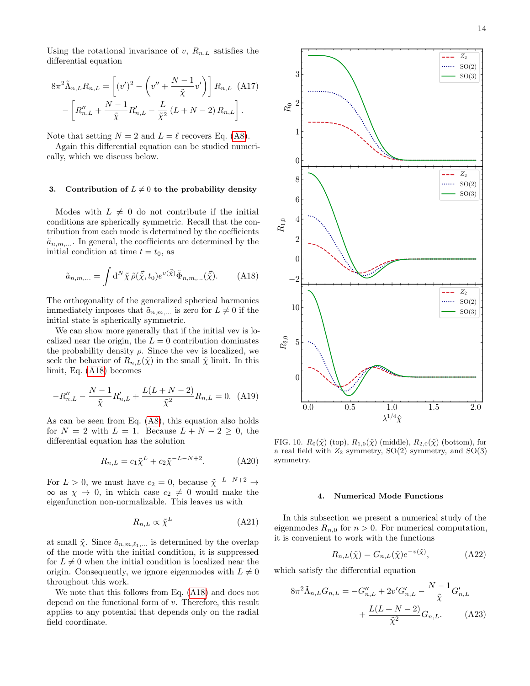Using the rotational invariance of v,  $R_{n,L}$  satisfies the differential equation

$$
8\pi^2 \tilde{\Lambda}_{n,L} R_{n,L} = \left[ (v')^2 - \left( v'' + \frac{N-1}{\tilde{\chi}} v' \right) \right] R_{n,L} \quad (A17)
$$

$$
- \left[ R''_{n,L} + \frac{N-1}{\tilde{\chi}} R'_{n,L} - \frac{L}{\tilde{\chi}^2} (L+N-2) R_{n,L} \right].
$$

Note that setting  $N = 2$  and  $L = \ell$  recovers Eq. [\(A8\)](#page-12-1).

Again this differential equation can be studied numerically, which we discuss below.

# <span id="page-13-0"></span>3. Contribution of  $L \neq 0$  to the probability density

Modes with  $L \neq 0$  do not contribute if the initial conditions are spherically symmetric. Recall that the contribution from each mode is determined by the coefficients  $\tilde{a}_{n,m,\dots}$ . In general, the coefficients are determined by the initial condition at time  $t = t_0$ , as

<span id="page-13-2"></span>
$$
\tilde{a}_{n,m,\dots} = \int \mathrm{d}^N \tilde{\chi} \,\tilde{\rho}(\vec{\tilde{\chi}}, t_0) e^{v(\vec{\tilde{\chi}})} \tilde{\Phi}_{n,m,\dots}(\vec{\tilde{\chi}}). \tag{A18}
$$

The orthogonality of the generalized spherical harmonics immediately imposes that  $\tilde{a}_{n,m,\dots}$  is zero for  $L \neq 0$  if the initial state is spherically symmetric.

We can show more generally that if the initial vev is localized near the origin, the  $L = 0$  contribution dominates the probability density  $\rho$ . Since the vev is localized, we seek the behavior of  $R_{n,L}(\tilde{\chi})$  in the small  $\tilde{\chi}$  limit. In this limit, Eq. [\(A18\)](#page-13-2) becomes

$$
-R_{n,L}'' - \frac{N-1}{\tilde{\chi}}R_{n,L}' + \frac{L(L+N-2)}{\tilde{\chi}^2}R_{n,L} = 0.
$$
 (A19)

As can be seen from Eq. [\(A8\)](#page-12-1), this equation also holds for  $N = 2$  with  $L = 1$ . Because  $L + N - 2 \geq 0$ , the differential equation has the solution

$$
R_{n,L} = c_1 \tilde{\chi}^L + c_2 \tilde{\chi}^{-L-N+2}.
$$
 (A20)

For  $L > 0$ , we must have  $c_2 = 0$ , because  $\tilde{\chi}^{-L-N+2} \rightarrow$  $\infty$  as  $\chi \to 0$ , in which case  $c_2 \neq 0$  would make the eigenfunction non-normalizable. This leaves us with

$$
R_{n,L} \propto \tilde{\chi}^L \tag{A21}
$$

at small  $\tilde{\chi}$ . Since  $\tilde{a}_{n,m,\ell_1,...}$  is determined by the overlap of the mode with the initial condition, it is suppressed for  $L \neq 0$  when the initial condition is localized near the origin. Consequently, we ignore eigenmodes with  $L \neq 0$ throughout this work.

We note that this follows from Eq. [\(A18\)](#page-13-2) and does not depend on the functional form of v. Therefore, this result applies to any potential that depends only on the radial field coordinate.



<span id="page-13-3"></span>FIG. 10.  $R_0(\tilde{\chi})$  (top),  $R_{1,0}(\tilde{\chi})$  (middle),  $R_{2,0}(\tilde{\chi})$  (bottom), for a real field with  $Z_2$  symmetry,  $SO(2)$  symmetry, and  $SO(3)$ symmetry.

# <span id="page-13-1"></span>4. Numerical Mode Functions

In this subsection we present a numerical study of the eigenmodes  $R_{n,0}$  for  $n > 0$ . For numerical computation, it is convenient to work with the functions

$$
R_{n,L}(\tilde{\chi}) = G_{n,L}(\tilde{\chi})e^{-v(\tilde{\chi})},\tag{A22}
$$

which satisfy the differential equation

$$
8\pi^{2}\tilde{\Lambda}_{n,L}G_{n,L} = -G''_{n,L} + 2v'G'_{n,L} - \frac{N-1}{\tilde{\chi}}G'_{n,L} + \frac{L(L+N-2)}{\tilde{\chi}^{2}}G_{n,L}.
$$
 (A23)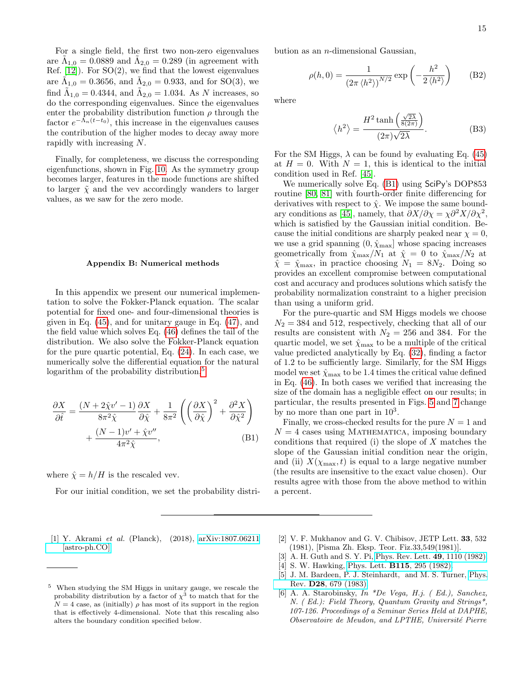For a single field, the first two non-zero eigenvalues are  $\tilde{\Lambda}_{1,0} = 0.0889$  and  $\tilde{\Lambda}_{2,0} = 0.289$  (in agreement with Ref.  $[12]$ ). For  $SO(2)$ , we find that the lowest eigenvalues are  $\tilde{\Lambda}_{1,0} = 0.3656$ , and  $\tilde{\Lambda}_{2,0} = 0.933$ , and for SO(3), we find  $\tilde{\Lambda}_{1,0} = 0.4344$ , and  $\tilde{\Lambda}_{2,0} = 1.034$ . As N increases, so do the corresponding eigenvalues. Since the eigenvalues enter the probability distribution function  $\rho$  through the factor  $e^{-\Lambda_n(t-t_0)}$ , this increase in the eigenvalues causes the contribution of the higher modes to decay away more rapidly with increasing N.

Finally, for completeness, we discuss the corresponding eigenfunctions, shown in Fig. [10.](#page-13-3) As the symmetry group becomes larger, features in the mode functions are shifted to larger  $\tilde{\chi}$  and the vev accordingly wanders to larger values, as we saw for the zero mode.

### <span id="page-14-4"></span>Appendix B: Numerical methods

In this appendix we present our numerical implementation to solve the Fokker-Planck equation. The scalar potential for fixed one- and four-dimensional theories is given in Eq. [\(45\)](#page-8-2), and for unitary gauge in Eq. [\(47\)](#page-8-3), and the field value which solves Eq. [\(46\)](#page-8-4) defines the tail of the distribution. We also solve the Fokker-Planck equation for the pure quartic potential, Eq. [\(24\)](#page-3-3). In each case, we numerically solve the differential equation for the natural logarithm of the probability distribution,<sup>[5](#page-14-7)</sup>

$$
\frac{\partial X}{\partial \hat{t}} = \frac{(N + 2\hat{\chi}v' - 1)}{8\pi^2 \hat{\chi}} \frac{\partial X}{\partial \hat{\chi}} + \frac{1}{8\pi^2} \left( \left( \frac{\partial X}{\partial \hat{\chi}} \right)^2 + \frac{\partial^2 X}{\partial \hat{\chi}^2} \right) + \frac{(N - 1)v' + \hat{\chi}v''}{4\pi^2 \hat{\chi}},
$$
(B1)

where  $\hat{\chi} = h/H$  is the rescaled vev.

For our initial condition, we set the probability distri-

bution as an  $n$ -dimensional Gaussian,

$$
\rho(h,0) = \frac{1}{\left(2\pi \left\langle h^2 \right\rangle\right)^{N/2}} \exp\left(-\frac{h^2}{2 \left\langle h^2 \right\rangle}\right) \tag{B2}
$$

where

<span id="page-14-6"></span><span id="page-14-5"></span>
$$
\langle h^2 \rangle = \frac{H^2 \tanh\left(\frac{\sqrt{2\lambda}}{8(2\pi)}\right)}{(2\pi)\sqrt{2\lambda}}.\tag{B3}
$$

For the SM Higgs,  $\lambda$  can be found by evaluating Eq. [\(45\)](#page-8-2) at  $H = 0$ . With  $N = 1$ , this is identical to the initial condition used in Ref. [\[45\]](#page-15-26).

We numerically solve Eq. [\(B1\)](#page-14-8) using SciPy's DOP853 routine [\[80,](#page-16-13) [81\]](#page-16-14) with fourth-order finite differencing for derivatives with respect to  $\hat{\chi}$ . We impose the same bound-ary conditions as [\[45\]](#page-15-26), namely, that  $\partial X/\partial \chi = \chi \partial^2 X/\partial \chi^2$ , which is satisfied by the Gaussian initial condition. Because the initial conditions are sharply peaked near  $\chi = 0$ , we use a grid spanning  $(0, \hat{\chi}_{\text{max}}]$  whose spacing increases geometrically from  $\hat{\chi}_{\text{max}}/N_1$  at  $\hat{\chi}=0$  to  $\hat{\chi}_{\text{max}}/N_2$  at  $\hat{\chi} = \hat{\chi}_{\text{max}}$ , in practice choosing  $N_1 = 8N_2$ . Doing so provides an excellent compromise between computational cost and accuracy and produces solutions which satisfy the probability normalization constraint to a higher precision than using a uniform grid.

For the pure-quartic and SM Higgs models we choose  $N_2 = 384$  and 512, respectively, checking that all of our results are consistent with  $N_2 = 256$  and 384. For the quartic model, we set  $\hat{\chi}_{\text{max}}$  to be a multiple of the critical value predicted analytically by Eq. [\(32\)](#page-5-6), finding a factor of 1.2 to be sufficiently large. Similarly, for the SM Higgs model we set  $\hat{\chi}_{\max}$  to be 1.4 times the critical value defined in Eq. [\(46\)](#page-8-4). In both cases we verified that increasing the size of the domain has a negligible effect on our results; in particular, the results presented in Figs. [5](#page-6-1) and [7](#page-9-0) change by no more than one part in  $10^3$ .

<span id="page-14-8"></span>Finally, we cross-checked results for the pure  $N = 1$  and  $N = 4$  cases using MATHEMATICA, imposing boundary conditions that required  $(i)$  the slope of  $X$  matches the slope of the Gaussian initial condition near the origin, and (ii)  $X(\chi_{\text{max}}, t)$  is equal to a large negative number (the results are insensitive to the exact value chosen). Our results agree with those from the above method to within a percent.

<span id="page-14-0"></span>[1] Y. Akrami et al. (Planck), (2018), [arXiv:1807.06211](http://arxiv.org/abs/1807.06211) [\[astro-ph.CO\].](http://arxiv.org/abs/1807.06211)

- <span id="page-14-1"></span>[2] V. F. Mukhanov and G. V. Chibisov, JETP Lett. 33, 532 (1981), [Pisma Zh. Eksp. Teor. Fiz.33,549(1981)].
- [3] A. H. Guth and S. Y. Pi, [Phys. Rev. Lett.](http://dx.doi.org/10.1103/PhysRevLett.49.1110) 49, 1110 (1982).
- [4] S. W. Hawking, Phys. Lett. **B115**[, 295 \(1982\).](http://dx.doi.org/10.1016/0370-2693(82)90373-2)
- <span id="page-14-2"></span>[5] J. M. Bardeen, P. J. Steinhardt, and M. S. Turner, [Phys.](http://dx.doi.org/10.1103/PhysRevD.28.679) Rev. D28[, 679 \(1983\).](http://dx.doi.org/10.1103/PhysRevD.28.679)
- <span id="page-14-3"></span>[6] A. A. Starobinsky, In \*De Vega, H.j. ( Ed.), Sanchez, N. ( Ed.): Field Theory, Quantum Gravity and Strings\*, 107-126. Proceedings of a Seminar Series Held at DAPHE, Observatoire de Meudon, and LPTHE, Université Pierre

<span id="page-14-7"></span><sup>5</sup> When studying the SM Higgs in unitary gauge, we rescale the probability distribution by a factor of  $\chi^3$  to match that for the  $N = 4$  case, as (initially)  $\rho$  has most of its support in the region that is effectively 4-dimensional. Note that this rescaling also alters the boundary condition specified below.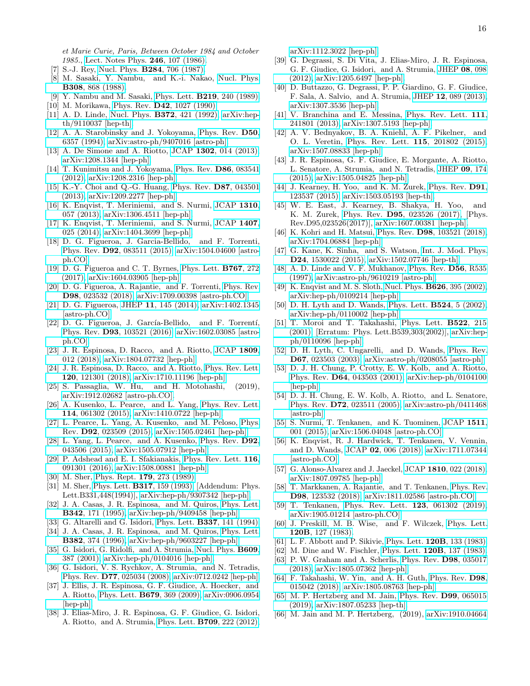et Marie Curie, Paris, Between October 1984 and October 1985., [Lect. Notes Phys.](http://dx.doi.org/ 10.1007/3-540-16452-9_6) 246, 107 (1986).

- [7] S.-J. Rey, Nucl. Phys. B284[, 706 \(1987\).](http://dx.doi.org/10.1016/0550-3213(87)90058-7)
- [8] M. Sasaki, Y. Nambu, and K.-i. Nakao, [Nucl. Phys.](http://dx.doi.org/10.1016/0550-3213(88)90132-0) B308[, 868 \(1988\).](http://dx.doi.org/10.1016/0550-3213(88)90132-0)
- [9] Y. Nambu and M. Sasaki, Phys. Lett. **B219**[, 240 \(1989\).](http://dx.doi.org/10.1016/0370-2693(89)90385-7)
- [10] M. Morikawa, Phys. Rev. **D42**[, 1027 \(1990\).](http://dx.doi.org/10.1103/PhysRevD.42.1027)
- [11] A. D. Linde, Nucl. Phys. B372[, 421 \(1992\),](http://dx.doi.org/10.1016/0550-3213(92)90326-7) [arXiv:hep](http://arxiv.org/abs/hep-th/9110037)[th/9110037 \[hep-th\].](http://arxiv.org/abs/hep-th/9110037)
- <span id="page-15-0"></span>[12] A. A. Starobinsky and J. Yokoyama, [Phys. Rev.](http://dx.doi.org/10.1103/PhysRevD.50.6357) D50, [6357 \(1994\),](http://dx.doi.org/10.1103/PhysRevD.50.6357) [arXiv:astro-ph/9407016 \[astro-ph\].](http://arxiv.org/abs/astro-ph/9407016)
- <span id="page-15-1"></span>[13] A. De Simone and A. Riotto, JCAP 1302[, 014 \(2013\),](http://dx.doi.org/10.1088/1475-7516/2013/02/014) [arXiv:1208.1344 \[hep-ph\].](http://arxiv.org/abs/1208.1344)
- [14] T. Kunimitsu and J. Yokoyama, [Phys. Rev.](http://dx.doi.org/10.1103/PhysRevD.86.083541) D86, 083541 [\(2012\),](http://dx.doi.org/10.1103/PhysRevD.86.083541) [arXiv:1208.2316 \[hep-ph\].](http://arxiv.org/abs/1208.2316)
- [15] K.-Y. Choi and Q.-G. Huang, [Phys. Rev.](http://dx.doi.org/10.1103/PhysRevD.87.043501) D87, 043501 [\(2013\),](http://dx.doi.org/10.1103/PhysRevD.87.043501) [arXiv:1209.2277 \[hep-ph\].](http://arxiv.org/abs/1209.2277)
- [16] K. Enqvist, T. Meriniemi, and S. Nurmi, [JCAP](http://dx.doi.org/10.1088/1475-7516/2013/10/057) 1310, [057 \(2013\),](http://dx.doi.org/10.1088/1475-7516/2013/10/057) [arXiv:1306.4511 \[hep-ph\].](http://arxiv.org/abs/1306.4511)
- <span id="page-15-2"></span>[17] K. Enqvist, T. Meriniemi, and S. Nurmi, [JCAP](http://dx.doi.org/10.1088/1475-7516/2014/07/025) 1407, [025 \(2014\),](http://dx.doi.org/10.1088/1475-7516/2014/07/025) [arXiv:1404.3699 \[hep-ph\].](http://arxiv.org/abs/1404.3699)
- <span id="page-15-3"></span>[18] D. G. Figueroa, J. Garcia-Bellido, and F. Torrenti, Phys. Rev. D92[, 083511 \(2015\),](http://dx.doi.org/10.1103/PhysRevD.92.083511) [arXiv:1504.04600 \[astro](http://arxiv.org/abs/1504.04600)[ph.CO\].](http://arxiv.org/abs/1504.04600)
- [19] D. G. Figueroa and C. T. Byrnes, [Phys. Lett.](http://dx.doi.org/10.1016/j.physletb.2017.01.059) B767, 272 [\(2017\),](http://dx.doi.org/10.1016/j.physletb.2017.01.059) [arXiv:1604.03905 \[hep-ph\].](http://arxiv.org/abs/1604.03905)
- <span id="page-15-4"></span>[20] D. G. Figueroa, A. Rajantie, and F. Torrenti, [Phys. Rev.](http://dx.doi.org/10.1103/PhysRevD.98.023532) D98[, 023532 \(2018\),](http://dx.doi.org/10.1103/PhysRevD.98.023532) [arXiv:1709.00398 \[astro-ph.CO\].](http://arxiv.org/abs/1709.00398)
- <span id="page-15-5"></span>[21] D. G. Figueroa, JHEP 11[, 145 \(2014\),](http://dx.doi.org/10.1007/JHEP11(2014)145) [arXiv:1402.1345](http://arxiv.org/abs/1402.1345) [\[astro-ph.CO\].](http://arxiv.org/abs/1402.1345)
- [22] D. G. Figueroa, J. García-Bellido, and F. Torrentí, Phys. Rev. D93[, 103521 \(2016\),](http://dx.doi.org/10.1103/PhysRevD.93.103521) [arXiv:1602.03085 \[astro](http://arxiv.org/abs/1602.03085)[ph.CO\].](http://arxiv.org/abs/1602.03085)
- <span id="page-15-6"></span>[23] J. R. Espinosa, D. Racco, and A. Riotto, [JCAP](http://dx.doi.org/10.1088/1475-7516/2018/09/012) 1809, [012 \(2018\),](http://dx.doi.org/10.1088/1475-7516/2018/09/012) [arXiv:1804.07732 \[hep-ph\].](http://arxiv.org/abs/1804.07732)
- <span id="page-15-7"></span>[24] J. R. Espinosa, D. Racco, and A. Riotto, [Phys. Rev. Lett.](http://dx.doi.org/10.1103/PhysRevLett.120.121301) 120[, 121301 \(2018\),](http://dx.doi.org/10.1103/PhysRevLett.120.121301) [arXiv:1710.11196 \[hep-ph\].](http://arxiv.org/abs/1710.11196)
- <span id="page-15-8"></span>[25] S. Passaglia, W. Hu, and H. Motohashi, (2019), [arXiv:1912.02682 \[astro-ph.CO\].](http://arxiv.org/abs/1912.02682)
- <span id="page-15-9"></span>[26] A. Kusenko, L. Pearce, and L. Yang, [Phys. Rev. Lett.](http://dx.doi.org/10.1103/PhysRevLett.114.061302) 114[, 061302 \(2015\),](http://dx.doi.org/10.1103/PhysRevLett.114.061302) [arXiv:1410.0722 \[hep-ph\].](http://arxiv.org/abs/1410.0722)
- [27] L. Pearce, L. Yang, A. Kusenko, and M. Peloso, [Phys.](http://dx.doi.org/10.1103/PhysRevD.92.023509) Rev. D92[, 023509 \(2015\),](http://dx.doi.org/10.1103/PhysRevD.92.023509) [arXiv:1505.02461 \[hep-ph\].](http://arxiv.org/abs/1505.02461)
- <span id="page-15-27"></span>[28] L. Yang, L. Pearce, and A. Kusenko, [Phys. Rev.](http://dx.doi.org/10.1103/PhysRevD.92.043506) D92, [043506 \(2015\),](http://dx.doi.org/10.1103/PhysRevD.92.043506) [arXiv:1505.07912 \[hep-ph\].](http://arxiv.org/abs/1505.07912)
- <span id="page-15-10"></span>[29] P. Adshead and E. I. Sfakianakis, [Phys. Rev. Lett.](http://dx.doi.org/10.1103/PhysRevLett.116.091301) 116, [091301 \(2016\),](http://dx.doi.org/10.1103/PhysRevLett.116.091301) [arXiv:1508.00881 \[hep-ph\].](http://arxiv.org/abs/1508.00881)
- <span id="page-15-11"></span>[30] M. Sher, Phys. Rept. **179**[, 273 \(1989\).](http://dx.doi.org/10.1016/0370-1573(89)90061-6)
- [31] M. Sher, Phys. Lett. B317[, 159 \(1993\),](http://dx.doi.org/10.1016/0370-2693(94)91078-2, 10.1016/0370-2693(93)91586-C) [Addendum: Phys. Lett.B331,448(1994)], [arXiv:hep-ph/9307342 \[hep-ph\].](http://arxiv.org/abs/hep-ph/9307342)
- [32] J. A. Casas, J. R. Espinosa, and M. Quiros, [Phys. Lett.](http://dx.doi.org/10.1016/0370-2693(94)01404-Z) B342[, 171 \(1995\),](http://dx.doi.org/10.1016/0370-2693(94)01404-Z) [arXiv:hep-ph/9409458 \[hep-ph\].](http://arxiv.org/abs/hep-ph/9409458)
- <span id="page-15-12"></span>[33] G. Altarelli and G. Isidori, Phys. Lett. **B337**[, 141 \(1994\).](http://dx.doi.org/10.1016/0370-2693(94)91458-3)
- <span id="page-15-13"></span>[34] J. A. Casas, J. R. Espinosa, and M. Quiros, [Phys. Lett.](http://dx.doi.org/10.1016/0370-2693(96)00682-X) B382[, 374 \(1996\),](http://dx.doi.org/10.1016/0370-2693(96)00682-X) [arXiv:hep-ph/9603227 \[hep-ph\].](http://arxiv.org/abs/hep-ph/9603227)
- [35] G. Isidori, G. Ridolfi, and A. Strumia, [Nucl. Phys.](http://dx.doi.org/10.1016/S0550-3213(01)00302-9) **B609**, [387 \(2001\),](http://dx.doi.org/10.1016/S0550-3213(01)00302-9) [arXiv:hep-ph/0104016 \[hep-ph\].](http://arxiv.org/abs/hep-ph/0104016)
- [36] G. Isidori, V. S. Rychkov, A. Strumia, and N. Tetradis, Phys. Rev. D77[, 025034 \(2008\),](http://dx.doi.org/10.1103/PhysRevD.77.025034) [arXiv:0712.0242 \[hep-ph\].](http://arxiv.org/abs/0712.0242)
- [37] J. Ellis, J. R. Espinosa, G. F. Giudice, A. Hoecker, and A. Riotto, Phys. Lett. B679[, 369 \(2009\),](http://dx.doi.org/ 10.1016/j.physletb.2009.07.054) [arXiv:0906.0954](http://arxiv.org/abs/0906.0954) [\[hep-ph\].](http://arxiv.org/abs/0906.0954)
- [38] J. Elias-Miro, J. R. Espinosa, G. F. Giudice, G. Isidori, A. Riotto, and A. Strumia, Phys. Lett. B709[, 222 \(2012\),](http://dx.doi.org/ 10.1016/j.physletb.2012.02.013)

[arXiv:1112.3022 \[hep-ph\].](http://arxiv.org/abs/1112.3022)

- [39] G. Degrassi, S. Di Vita, J. Elias-Miro, J. R. Espinosa, G. F. Giudice, G. Isidori, and A. Strumia, [JHEP](http://dx.doi.org/ 10.1007/JHEP08(2012)098) 08, 098 [\(2012\),](http://dx.doi.org/ 10.1007/JHEP08(2012)098) [arXiv:1205.6497 \[hep-ph\].](http://arxiv.org/abs/1205.6497)
- [40] D. Buttazzo, G. Degrassi, P. P. Giardino, G. F. Giudice, F. Sala, A. Salvio, and A. Strumia, JHEP 12[, 089 \(2013\),](http://dx.doi.org/10.1007/JHEP12(2013)089) [arXiv:1307.3536 \[hep-ph\].](http://arxiv.org/abs/1307.3536)
- [41] V. Branchina and E. Messina, [Phys. Rev. Lett.](http://dx.doi.org/10.1103/PhysRevLett.111.241801) 111, [241801 \(2013\),](http://dx.doi.org/10.1103/PhysRevLett.111.241801) [arXiv:1307.5193 \[hep-ph\].](http://arxiv.org/abs/1307.5193)
- <span id="page-15-14"></span>[42] A. V. Bednyakov, B. A. Kniehl, A. F. Pikelner, and O. L. Veretin, [Phys. Rev. Lett.](http://dx.doi.org/10.1103/PhysRevLett.115.201802) 115, 201802 (2015), [arXiv:1507.08833 \[hep-ph\].](http://arxiv.org/abs/1507.08833)
- <span id="page-15-15"></span>[43] J. R. Espinosa, G. F. Giudice, E. Morgante, A. Riotto, L. Senatore, A. Strumia, and N. Tetradis, [JHEP](http://dx.doi.org/ 10.1007/JHEP09(2015)174) 09, 174 [\(2015\),](http://dx.doi.org/ 10.1007/JHEP09(2015)174) [arXiv:1505.04825 \[hep-ph\].](http://arxiv.org/abs/1505.04825)
- [44] J. Kearney, H. Yoo, and K. M. Zurek, [Phys. Rev.](http://dx.doi.org/10.1103/PhysRevD.91.123537) D91, [123537 \(2015\),](http://dx.doi.org/10.1103/PhysRevD.91.123537) [arXiv:1503.05193 \[hep-th\].](http://arxiv.org/abs/1503.05193)
- <span id="page-15-26"></span>[45] W. E. East, J. Kearney, B. Shakya, H. Yoo, and K. M. Zurek, Phys. Rev. D95[, 023526 \(2017\),](http://dx.doi.org/ 10.1103/PhysRevD.95.023526) [Phys. Rev.D95,023526(2017)], [arXiv:1607.00381 \[hep-ph\].](http://arxiv.org/abs/1607.00381)
- <span id="page-15-16"></span>[46] K. Kohri and H. Matsui, Phys. Rev. D98[, 103521 \(2018\),](http://dx.doi.org/10.1103/PhysRevD.98.103521) [arXiv:1704.06884 \[hep-ph\].](http://arxiv.org/abs/1704.06884)
- <span id="page-15-17"></span>[47] G. Kane, K. Sinha, and S. Watson, [Int. J. Mod. Phys.](http://dx.doi.org/10.1142/S0218271815300220) D24[, 1530022 \(2015\),](http://dx.doi.org/10.1142/S0218271815300220) [arXiv:1502.07746 \[hep-th\].](http://arxiv.org/abs/1502.07746)
- <span id="page-15-18"></span>[48] A. D. Linde and V. F. Mukhanov, [Phys. Rev.](http://dx.doi.org/10.1103/PhysRevD.56.R535) D56, R535 [\(1997\),](http://dx.doi.org/10.1103/PhysRevD.56.R535) [arXiv:astro-ph/9610219 \[astro-ph\].](http://arxiv.org/abs/astro-ph/9610219)
- [49] K. Enqvist and M. S. Sloth, Nucl. Phys. **B626**[, 395 \(2002\),](http://dx.doi.org/10.1016/S0550-3213(02)00043-3) [arXiv:hep-ph/0109214 \[hep-ph\].](http://arxiv.org/abs/hep-ph/0109214)
- [50] D. H. Lyth and D. Wands, [Phys. Lett.](http://dx.doi.org/10.1016/S0370-2693(01)01366-1) **B524**, 5 (2002), [arXiv:hep-ph/0110002 \[hep-ph\].](http://arxiv.org/abs/hep-ph/0110002)
- <span id="page-15-28"></span>[51] T. Moroi and T. Takahashi, [Phys. Lett.](http://dx.doi.org/10.1016/S0370-2693(02)02070-1, 10.1016/S0370-2693(01)01295-3) B522, 215 [\(2001\),](http://dx.doi.org/10.1016/S0370-2693(02)02070-1, 10.1016/S0370-2693(01)01295-3) [Erratum: Phys. Lett.B539,303(2002)], [arXiv:hep](http://arxiv.org/abs/hep-ph/0110096)[ph/0110096 \[hep-ph\].](http://arxiv.org/abs/hep-ph/0110096)
- <span id="page-15-19"></span>[52] D. H. Lyth, C. Ungarelli, and D. Wands, [Phys. Rev.](http://dx.doi.org/10.1103/PhysRevD.67.023503) D67[, 023503 \(2003\),](http://dx.doi.org/10.1103/PhysRevD.67.023503) [arXiv:astro-ph/0208055 \[astro-ph\].](http://arxiv.org/abs/astro-ph/0208055)
- <span id="page-15-20"></span>[53] D. J. H. Chung, P. Crotty, E. W. Kolb, and A. Riotto, Phys. Rev. D64[, 043503 \(2001\),](http://dx.doi.org/10.1103/PhysRevD.64.043503) [arXiv:hep-ph/0104100](http://arxiv.org/abs/hep-ph/0104100) [\[hep-ph\].](http://arxiv.org/abs/hep-ph/0104100)
- [54] D. J. H. Chung, E. W. Kolb, A. Riotto, and L. Senatore, Phys. Rev. D72[, 023511 \(2005\),](http://dx.doi.org/10.1103/PhysRevD.72.023511) [arXiv:astro-ph/0411468](http://arxiv.org/abs/astro-ph/0411468) [\[astro-ph\].](http://arxiv.org/abs/astro-ph/0411468)
- [55] S. Nurmi, T. Tenkanen, and K. Tuominen, [JCAP](http://dx.doi.org/10.1088/1475-7516/2015/11/001) 1511, [001 \(2015\),](http://dx.doi.org/10.1088/1475-7516/2015/11/001) [arXiv:1506.04048 \[astro-ph.CO\].](http://arxiv.org/abs/1506.04048)
- [56] K. Enqvist, R. J. Hardwick, T. Tenkanen, V. Vennin, and D. Wands, JCAP 02[, 006 \(2018\),](http://dx.doi.org/ 10.1088/1475-7516/2018/02/006) [arXiv:1711.07344](http://arxiv.org/abs/1711.07344) [\[astro-ph.CO\].](http://arxiv.org/abs/1711.07344)
- [57] G. Alonso-Álvarez and J. Jaeckel, JCAP  $1810$ [, 022 \(2018\),](http://dx.doi.org/ 10.1088/1475-7516/2018/10/022) [arXiv:1807.09785 \[hep-ph\].](http://arxiv.org/abs/1807.09785)
- [58] T. Markkanen, A. Rajantie, and T. Tenkanen, [Phys. Rev.](http://dx.doi.org/10.1103/PhysRevD.98.123532) D98[, 123532 \(2018\),](http://dx.doi.org/10.1103/PhysRevD.98.123532) [arXiv:1811.02586 \[astro-ph.CO\].](http://arxiv.org/abs/1811.02586)
- <span id="page-15-21"></span>[59] T. Tenkanen, [Phys. Rev. Lett.](http://dx.doi.org/10.1103/PhysRevLett.123.061302) 123, 061302 (2019), [arXiv:1905.01214 \[astro-ph.CO\].](http://arxiv.org/abs/1905.01214)
- <span id="page-15-22"></span>[60] J. Preskill, M. B. Wise, and F. Wilczek, [Phys. Lett.](http://dx.doi.org/10.1016/0370-2693(83)90637-8) 120B[, 127 \(1983\).](http://dx.doi.org/10.1016/0370-2693(83)90637-8)
- [61] L. F. Abbott and P. Sikivie, Phys. Lett. 120B[, 133 \(1983\).](http://dx.doi.org/10.1016/0370-2693(83)90638-X)
- [62] M. Dine and W. Fischler, Phys. Lett. **120B**[, 137 \(1983\).](http://dx.doi.org/10.1016/0370-2693(83)90639-1)
- [63] P. W. Graham and A. Scherlis, [Phys. Rev.](http://dx.doi.org/10.1103/PhysRevD.98.035017) **D98**, 035017 [\(2018\),](http://dx.doi.org/10.1103/PhysRevD.98.035017) [arXiv:1805.07362 \[hep-ph\].](http://arxiv.org/abs/1805.07362)
- <span id="page-15-23"></span>[64] F. Takahashi, W. Yin, and A. H. Guth, [Phys. Rev.](http://dx.doi.org/10.1103/PhysRevD.98.015042) **D98**, [015042 \(2018\),](http://dx.doi.org/10.1103/PhysRevD.98.015042) [arXiv:1805.08763 \[hep-ph\].](http://arxiv.org/abs/1805.08763)
- <span id="page-15-24"></span>[65] M. P. Hertzberg and M. Jain, [Phys. Rev.](http://dx.doi.org/10.1103/PhysRevD.99.065015) D99, 065015 [\(2019\),](http://dx.doi.org/10.1103/PhysRevD.99.065015) [arXiv:1807.05233 \[hep-th\].](http://arxiv.org/abs/1807.05233)
- <span id="page-15-25"></span>[66] M. Jain and M. P. Hertzberg, (2019), [arXiv:1910.04664](http://arxiv.org/abs/1910.04664)